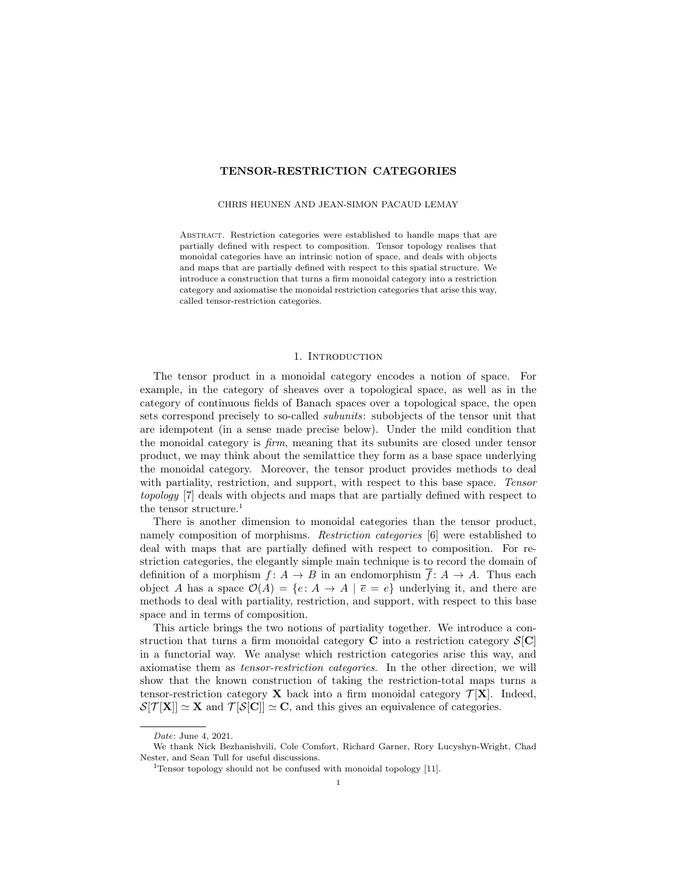# TENSOR-RESTRICTION CATEGORIES

## CHRIS HEUNEN AND JEAN-SIMON PACAUD LEMAY

Abstract. Restriction categories were established to handle maps that are partially defined with respect to composition. Tensor topology realises that monoidal categories have an intrinsic notion of space, and deals with objects and maps that are partially defined with respect to this spatial structure. We introduce a construction that turns a firm monoidal category into a restriction category and axiomatise the monoidal restriction categories that arise this way, called tensor-restriction categories.

#### 1. INTRODUCTION

The tensor product in a monoidal category encodes a notion of space. For example, in the category of sheaves over a topological space, as well as in the category of continuous fields of Banach spaces over a topological space, the open sets correspond precisely to so-called subunits: subobjects of the tensor unit that are idempotent (in a sense made precise below). Under the mild condition that the monoidal category is firm, meaning that its subunits are closed under tensor product, we may think about the semilattice they form as a base space underlying the monoidal category. Moreover, the tensor product provides methods to deal with partiality, restriction, and support, with respect to this base space. Tensor topology [7] deals with objects and maps that are partially defined with respect to the tensor structure.<sup>1</sup>

There is another dimension to monoidal categories than the tensor product, namely composition of morphisms. Restriction categories [6] were established to deal with maps that are partially defined with respect to composition. For restriction categories, the elegantly simple main technique is to record the domain of definition of a morphism  $f: A \to B$  in an endomorphism  $f: A \to A$ . Thus each object A has a space  $\mathcal{O}(A) = \{e: A \to A \mid \overline{e} = e\}$  underlying it, and there are methods to deal with partiality, restriction, and support, with respect to this base space and in terms of composition.

This article brings the two notions of partiality together. We introduce a construction that turns a firm monoidal category C into a restriction category  $\mathcal{S}[\mathbf{C}]$ in a functorial way. We analyse which restriction categories arise this way, and axiomatise them as tensor-restriction categories. In the other direction, we will show that the known construction of taking the restriction-total maps turns a tensor-restriction category  $\bf{X}$  back into a firm monoidal category  $\mathcal{T}[\bf{X}]$ . Indeed,  $\mathcal{S}[\mathcal{T}[\mathbf{X}]] \simeq \mathbf{X}$  and  $\mathcal{T}[\mathcal{S}[\mathbf{C}]] \simeq \mathbf{C}$ , and this gives an equivalence of categories.

Date: June 4, 2021.

We thank Nick Bezhanishvili, Cole Comfort, Richard Garner, Rory Lucyshyn-Wright, Chad Nester, and Sean Tull for useful discussions.

<sup>&</sup>lt;sup>1</sup>Tensor topology should not be confused with monoidal topology  $[11]$ .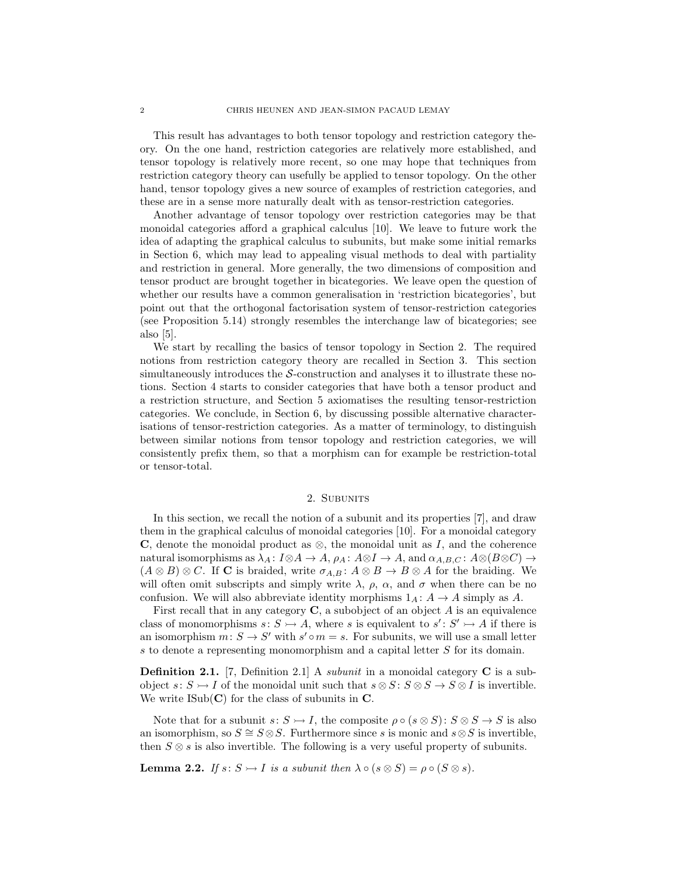This result has advantages to both tensor topology and restriction category theory. On the one hand, restriction categories are relatively more established, and tensor topology is relatively more recent, so one may hope that techniques from restriction category theory can usefully be applied to tensor topology. On the other hand, tensor topology gives a new source of examples of restriction categories, and these are in a sense more naturally dealt with as tensor-restriction categories.

Another advantage of tensor topology over restriction categories may be that monoidal categories afford a graphical calculus [10]. We leave to future work the idea of adapting the graphical calculus to subunits, but make some initial remarks in Section 6, which may lead to appealing visual methods to deal with partiality and restriction in general. More generally, the two dimensions of composition and tensor product are brought together in bicategories. We leave open the question of whether our results have a common generalisation in 'restriction bicategories', but point out that the orthogonal factorisation system of tensor-restriction categories (see Proposition 5.14) strongly resembles the interchange law of bicategories; see also [5].

We start by recalling the basics of tensor topology in Section 2. The required notions from restriction category theory are recalled in Section 3. This section simultaneously introduces the S-construction and analyses it to illustrate these notions. Section 4 starts to consider categories that have both a tensor product and a restriction structure, and Section 5 axiomatises the resulting tensor-restriction categories. We conclude, in Section 6, by discussing possible alternative characterisations of tensor-restriction categories. As a matter of terminology, to distinguish between similar notions from tensor topology and restriction categories, we will consistently prefix them, so that a morphism can for example be restriction-total or tensor-total.

## 2. SUBUNITS

In this section, we recall the notion of a subunit and its properties [7], and draw them in the graphical calculus of monoidal categories [10]. For a monoidal category C, denote the monoidal product as ⊗, the monoidal unit as  $I$ , and the coherence natural isomorphisms as  $\lambda_A: I \otimes A \to A$ ,  $\rho_A: A \otimes I \to A$ , and  $\alpha_{A,B,C}: A \otimes (B \otimes C) \to$  $(A \otimes B) \otimes C$ . If **C** is braided, write  $\sigma_{A,B} : A \otimes B \to B \otimes A$  for the braiding. We will often omit subscripts and simply write  $\lambda$ ,  $\rho$ ,  $\alpha$ , and  $\sigma$  when there can be no confusion. We will also abbreviate identity morphisms  $1_A : A \rightarrow A$  simply as A.

First recall that in any category  $C$ , a subobject of an object  $A$  is an equivalence class of monomorphisms  $s: S \rightarrow A$ , where s is equivalent to  $s': S' \rightarrow A$  if there is an isomorphism  $m: S \to S'$  with  $s' \circ m = s$ . For subunits, we will use a small letter s to denote a representing monomorphism and a capital letter S for its domain.

**Definition 2.1.** [7, Definition 2.1] A *subunit* in a monoidal category  $C$  is a subobject s:  $S \rightarrow I$  of the monoidal unit such that  $s \otimes S : S \otimes S \rightarrow S \otimes I$  is invertible. We write  $\text{ISub}(\mathbf{C})$  for the class of subunits in C.

Note that for a subunit  $s: S \rightarrow I$ , the composite  $\rho \circ (s \otimes S) : S \otimes S \rightarrow S$  is also an isomorphism, so  $S \cong S \otimes S$ . Furthermore since s is monic and s  $\otimes S$  is invertible, then  $S \otimes s$  is also invertible. The following is a very useful property of subunits.

**Lemma 2.2.** If  $s: S \rightarrow I$  is a subunit then  $\lambda \circ (s \otimes S) = \rho \circ (S \otimes s)$ .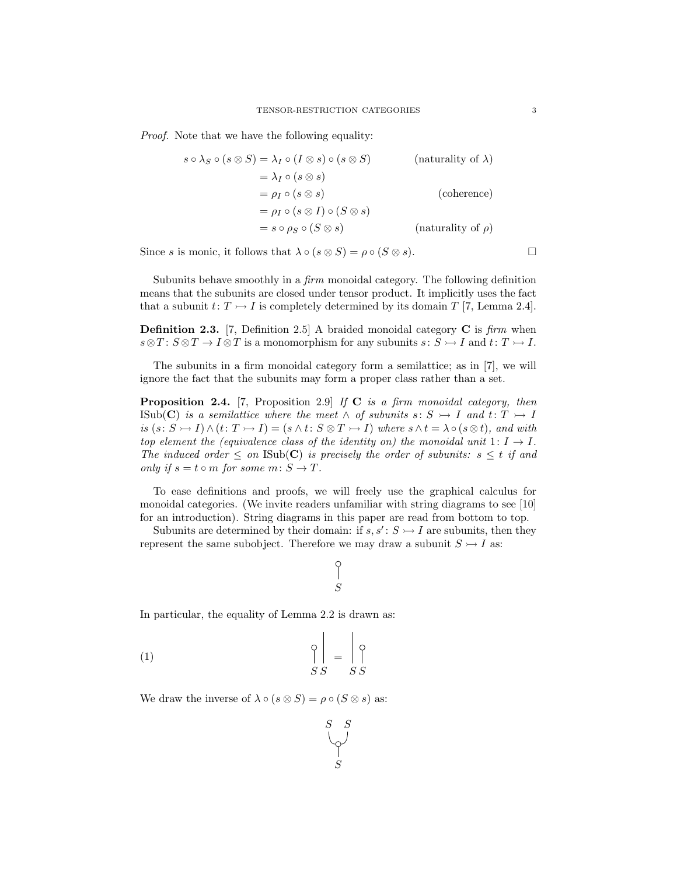Proof. Note that we have the following equality:

$$
s \circ \lambda_S \circ (s \otimes S) = \lambda_I \circ (I \otimes s) \circ (s \otimes S) \qquad \text{(naturally of }\lambda)
$$
  
=  $\lambda_I \circ (s \otimes s)$   
=  $\rho_I \circ (s \otimes I) \circ (S \otimes s)$   
=  $s \circ \rho_S \circ (S \otimes s)$  (naturally of  $\rho$ )

Since s is monic, it follows that  $\lambda \circ (s \otimes S) = \rho \circ (S \otimes s)$ .

Subunits behave smoothly in a firm monoidal category. The following definition means that the subunits are closed under tensor product. It implicitly uses the fact that a subunit  $t: T \rightarrow I$  is completely determined by its domain T [7, Lemma 2.4].

**Definition 2.3.** [7, Definition 2.5] A braided monoidal category  $C$  is firm when  $s \otimes T : S \otimes T \to I \otimes T$  is a monomorphism for any subunits  $s : S \to I$  and  $t : T \to I$ .

The subunits in a firm monoidal category form a semilattice; as in [7], we will ignore the fact that the subunits may form a proper class rather than a set.

**Proposition 2.4.** [7, Proposition 2.9] If  $C$  is a firm monoidal category, then ISub(C) is a semilattice where the meet  $\wedge$  of subunits  $s: S \rightarrow I$  and  $t: T \rightarrow I$ is  $(s: S \rightarrow I) \wedge (t: T \rightarrow I) = (s \wedge t: S \otimes T \rightarrow I)$  where  $s \wedge t = \lambda \circ (s \otimes t)$ , and with top element the (equivalence class of the identity on) the monoidal unit  $1: I \rightarrow I$ . The induced order  $\leq$  on ISub(C) is precisely the order of subunits:  $s \leq t$  if and only if  $s = t \circ m$  for some  $m: S \to T$ .

To ease definitions and proofs, we will freely use the graphical calculus for monoidal categories. (We invite readers unfamiliar with string diagrams to see [10] for an introduction). String diagrams in this paper are read from bottom to top.

Subunits are determined by their domain: if  $s, s' : S \rightarrow I$  are subunits, then they represent the same subobject. Therefore we may draw a subunit  $S \rightarrow I$  as:

# $\int_S$

In particular, the equality of Lemma 2.2 is drawn as:

$$
\begin{array}{c}\n\bigcirc \\
\bigcirc \\
SS\n\end{array} = \begin{array}{c}\n\bigcirc \\
\bigcirc \\
SS\n\end{array}
$$

We draw the inverse of  $\lambda \circ (s \otimes S) = \rho \circ (S \otimes s)$  as:

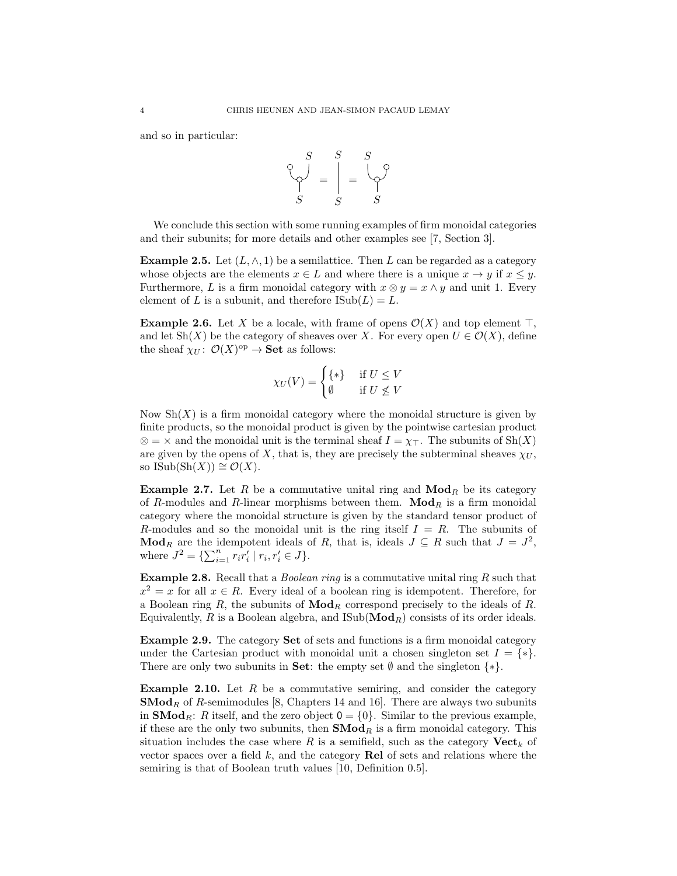and so in particular:



We conclude this section with some running examples of firm monoidal categories and their subunits; for more details and other examples see [7, Section 3].

**Example 2.5.** Let  $(L, \wedge, 1)$  be a semilattice. Then L can be regarded as a category whose objects are the elements  $x \in L$  and where there is a unique  $x \to y$  if  $x \leq y$ . Furthermore, L is a firm monoidal category with  $x \otimes y = x \wedge y$  and unit 1. Every element of L is a subunit, and therefore  $\text{Isub}(L) = L$ .

**Example 2.6.** Let X be a locale, with frame of opens  $\mathcal{O}(X)$  and top element  $\top$ , and let Sh(X) be the category of sheaves over X. For every open  $U \in \mathcal{O}(X)$ , define the sheaf  $\chi_U: \mathcal{O}(X)^{op} \to \mathbf{Set}$  as follows:

$$
\chi_U(V) = \begin{cases} \{ * \} & \text{if } U \le V \\ \emptyset & \text{if } U \not\le V \end{cases}
$$

Now  $\mathrm{Sh}(X)$  is a firm monoidal category where the monoidal structure is given by finite products, so the monoidal product is given by the pointwise cartesian product  $\otimes$  =  $\times$  and the monoidal unit is the terminal sheaf  $I = \chi_T$ . The subunits of Sh(X) are given by the opens of X, that is, they are precisely the subterminal sheaves  $\chi_U$ , so ISub $(\text{Sh}(X)) \cong \mathcal{O}(X)$ .

**Example 2.7.** Let R be a commutative unital ring and  $\text{Mod}_R$  be its category of R-modules and R-linear morphisms between them.  $\mathbf{Mod}_R$  is a firm monoidal category where the monoidal structure is given by the standard tensor product of R-modules and so the monoidal unit is the ring itself  $I = R$ . The subunits of **Mod**<sub>R</sub> are the idempotent ideals of R, that is, ideals  $J \subseteq R$  such that  $J = J^2$ , where  $J^2 = \{ \sum_{i=1}^n r_i r'_i \mid r_i, r'_i \in J \}.$ 

**Example 2.8.** Recall that a *Boolean ring* is a commutative unital ring  $R$  such that  $x^2 = x$  for all  $x \in R$ . Every ideal of a boolean ring is idempotent. Therefore, for a Boolean ring R, the subunits of  $\mathbf{Mod}_R$  correspond precisely to the ideals of R. Equivalently, R is a Boolean algebra, and  $\text{Sub}(\text{Mod}_R)$  consists of its order ideals.

Example 2.9. The category Set of sets and functions is a firm monoidal category under the Cartesian product with monoidal unit a chosen singleton set  $I = \{*\}.$ There are only two subunits in Set: the empty set  $\emptyset$  and the singleton  $\{*\}.$ 

**Example 2.10.** Let  $R$  be a commutative semiring, and consider the category  $\mathbf{SMod}_R$  of R-semimodules [8, Chapters 14 and 16]. There are always two subunits in **SMod**<sub>R</sub>: R itself, and the zero object  $0 = \{0\}$ . Similar to the previous example, if these are the only two subunits, then  $\mathbf{SMod}_R$  is a firm monoidal category. This situation includes the case where R is a semifield, such as the category  $\mathbf{Vect}_k$  of vector spaces over a field  $k$ , and the category **Rel** of sets and relations where the semiring is that of Boolean truth values [10, Definition 0.5].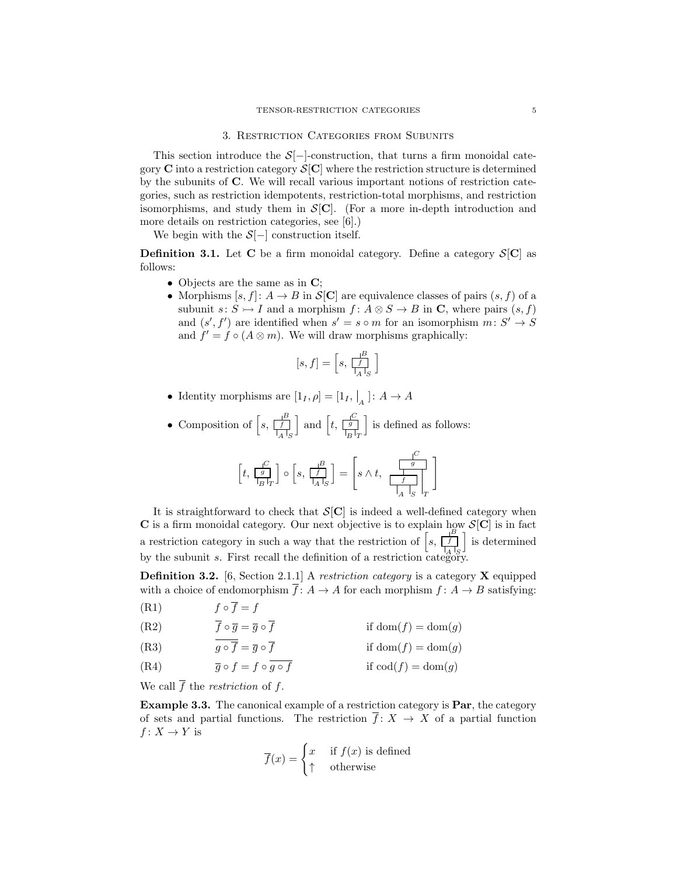#### 3. Restriction Categories from Subunits

This section introduce the  $S[-]$ -construction, that turns a firm monoidal category C into a restriction category  $\mathcal{S}[\mathbf{C}]$  where the restriction structure is determined by the subunits of C. We will recall various important notions of restriction categories, such as restriction idempotents, restriction-total morphisms, and restriction isomorphisms, and study them in  $S[\mathbf{C}]$ . (For a more in-depth introduction and more details on restriction categories, see [6].)

We begin with the  $S[-]$  construction itself.

**Definition 3.1.** Let C be a firm monoidal category. Define a category  $S[C]$  as follows:

- Objects are the same as in C;
- Morphisms  $[s, f]: A \to B$  in  $\mathcal{S}[\mathbf{C}]$  are equivalence classes of pairs  $(s, f)$  of a subunit  $s: S \rightarrow I$  and a morphism  $f: A \otimes S \rightarrow B$  in C, where pairs  $(s, f)$ and  $(s', f')$  are identified when  $s' = s \circ m$  for an isomorphism  $m: S' \to S$ and  $f' = f \circ (A \otimes m)$ . We will draw morphisms graphically:

$$
[s, f] = \left[s, \frac{f}{f} \right]
$$

• Identity morphisms are  $[1_I, \rho] = [1_I, \vert_{A}] : A \to A$ 

• Composition of  $\left[ s, \frac{1}{\left| \frac{f}{A} \right|_S^B} \right]$  $\left[t, \frac{e}{|g|_T}\right]$  and  $\left[t, \frac{e}{|g|_T}\right]$  $\Box$  is defined as follows:

$$
\left[t, \frac{\frac{C}{g}}{\frac{C}{B}}\right] \circ \left[s, \frac{\frac{B}{f}}{\frac{C}{A}}\right] = \left[s \wedge t, \frac{\frac{C}{g}}{\frac{C}{A}}\right]_{T}
$$

It is straightforward to check that  $S[C]$  is indeed a well-defined category when C is a firm monoidal category. Our next objective is to explain how  $S[C]$  is in fact a restriction category in such a way that the restriction of  $\left[ s, \frac{p}{\vert A \vert} \right]$  $\left[\begin{array}{c} \mathbf{B} \\ \hline \end{array}\right]$  is determined by the subunit s. First recall the definition of a restriction category.

**Definition 3.2.** [6, Section 2.1.1] A *restriction category* is a category **X** equipped with a choice of endomorphism  $\overline{f}$ :  $A \rightarrow A$  for each morphism  $f: A \rightarrow B$  satisfying:

(R1)  $f \circ \overline{f} = f$ 

(R2)  $\overline{f} \circ \overline{g} = \overline{g} \circ \overline{f}$  if  $\text{dom}(f) = \text{dom}(g)$ 

(R3) 
$$
\overline{g \circ \overline{f}} = \overline{g} \circ \overline{f} \qquad \text{if } \text{dom}(f) = \text{dom}(g)
$$

(R4)  $\overline{g} \circ f = f \circ g \circ f$  if  $\text{cod}(f) = \text{dom}(g)$ 

We call  $\overline{f}$  the *restriction* of f.

Example 3.3. The canonical example of a restriction category is Par, the category of sets and partial functions. The restriction  $\overline{f} : X \to X$  of a partial function  $f: X \to Y$  is

$$
\overline{f}(x) = \begin{cases} x & \text{if } f(x) \text{ is defined} \\ \uparrow & \text{otherwise} \end{cases}
$$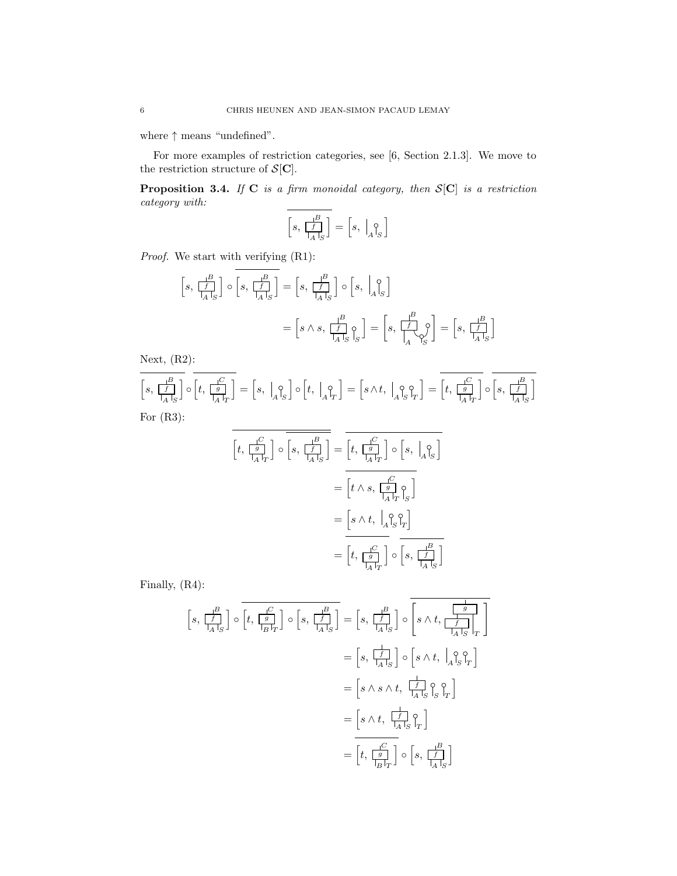where ↑ means "undefined".

For more examples of restriction categories, see [6, Section 2.1.3]. We move to the restriction structure of  $\mathcal{S}[\mathbf{C}].$ 

**Proposition 3.4.** If  $C$  is a firm monoidal category, then  $S[C]$  is a restriction category with:

$$
\left[s,\,\frac{\mathop{\big|}^B}{\mathop{\big|}\limits^f_A\mathop{\big|}}_S\right]=\left[s,\,\,\mathop{\big|}_A\mathop{\big|}_S^{\mathop{\bigtriangleup}}\right]
$$

Proof. We start with verifying  $(R1)$ :

$$
\begin{aligned}\n\left[s, \frac{B}{\left|f\right|} \right] \circ \left[s, \frac{B}{\left|f\right|} \right] &= \left[s, \frac{B}{\left|f\right|} \right] \circ \left[s, \Big|_{A} \right]_{S}\n\end{aligned}
$$
\n
$$
= \left[s \wedge s, \frac{B}{\left|f\right|} \circ \left[s, \Big|_{A} \right]_{S}\n\end{aligned}
$$
\n
$$
= \left[s \wedge s, \frac{B}{\left|f\right|} \circ \left[s, \Big|_{A} \right]_{S}\n\end{aligned}
$$

Next, (R2):

$$
\overline{\left[s,\frac{1}{\int_A^B}\right]}\circ\overline{\left[t,\frac{1}{\int_A^B}\right]} = \left[s,\Bigm|_A^{\circ}\right]\circ\left[t,\Bigm|_A^{\circ}\right] = \left[s\wedge t,\Bigm|_A^{\circ}\right]\circ\overline{\left[t,\frac{1}{\int_A^B}\right]} = \overline{\left[t,\frac{1}{\int_A^B}\right]}\circ\overline{\left[s,\frac{1}{\int_A^B}\right]}
$$
  
For (R3):

$$
\begin{aligned}\n\left[t, \frac{1}{\left|A\right|T}\right] \circ \overline{\left[s, \frac{1}{\left|A\right|S}\right]} &= \overline{\left[t, \frac{1}{\left|A\right|T}\right] \circ \left[s, \frac{1}{\left|A\right|S}\right]} \\
&= \overline{\left[t \wedge s, \frac{1}{\left|A\right|T}\right] \circ \left[s, \frac{1}{\left|A\right|S}\right]} \\
&= \overline{\left[s \wedge t, \frac{1}{\left|A\right|S}\right] \circ \left[s, \frac{B}{\left|A\right|S}\right]} \\
&= \overline{\left[t, \frac{1}{\left|A\right|T}\right]} \circ \overline{\left[s, \frac{1}{\left|A\right|S}\right]}\n\end{aligned}
$$

Finally, (R4):

$$
\begin{aligned}\n\left[s, \frac{1}{\left[f\right]} \right] \circ \overline{\left[t, \frac{1}{\left[g\right]} \right]} \circ \left[s, \frac{1}{\left[f\right]} \right] &= \left[s, \frac{1}{\left[f\right]} \right] \circ \overline{\left[s \wedge t, \frac{1}{\left[f\right]} \right]} \\
&= \left[s, \frac{1}{\left[f\right]} \right] \circ \left[s \wedge t, \frac{1}{\left[g\right]} \right] \\
&= \left[s, \frac{1}{\left[g\right]} \right] \circ \left[s \wedge t, \frac{1}{\left[g\right]} \right] \\
&= \left[s \wedge s \wedge t, \frac{1}{\left[g\right]} \circ \left[s \wedge t, \frac{1}{\left[g\right]} \right] \\
&= \left[s \wedge t, \frac{1}{\left[g\right]} \circ \left[s, \frac{1}{\left[g\right]} \right] \right] \\
&= \left[t, \frac{1}{\left[g\right]} \right] \circ \left[s, \frac{1}{\left[g\right]} \right]\n\end{aligned}
$$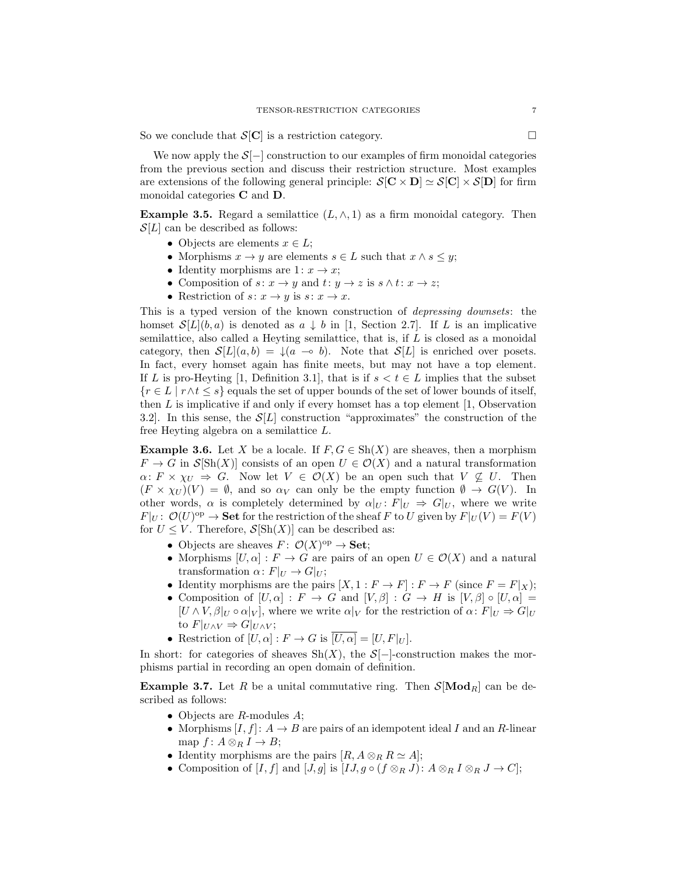So we conclude that  $S[\mathbf{C}]$  is a restriction category.

We now apply the  $S[-]$  construction to our examples of firm monoidal categories from the previous section and discuss their restriction structure. Most examples are extensions of the following general principle:  $S[\mathbf{C} \times \mathbf{D}] \simeq S[\mathbf{C}] \times S[\mathbf{D}]$  for firm monoidal categories C and D.

**Example 3.5.** Regard a semilattice  $(L, \wedge, 1)$  as a firm monoidal category. Then  $\mathcal{S}[L]$  can be described as follows:

- Objects are elements  $x \in L$ ;
- Morphisms  $x \to y$  are elements  $s \in L$  such that  $x \wedge s \leq y$ ;
- Identity morphisms are  $1: x \rightarrow x$ ;
- Composition of  $s: x \to y$  and  $t: y \to z$  is  $s \wedge t: x \to z$ ;
- Restriction of  $s: x \to y$  is  $s: x \to x$ .

This is a typed version of the known construction of depressing downsets: the homset  $\mathcal{S}[L](b,a)$  is denoted as  $a \downarrow b$  in [1, Section 2.7]. If L is an implicative semilattice, also called a Heyting semilattice, that is, if L is closed as a monoidal category, then  $\mathcal{S}[L](a, b) = \mathcal{A}(a \to b)$ . Note that  $\mathcal{S}[L]$  is enriched over posets. In fact, every homset again has finite meets, but may not have a top element. If L is pro-Heyting [1, Definition 3.1], that is if  $s < t \in L$  implies that the subset  ${r \in L \mid r \wedge t \leq s}$  equals the set of upper bounds of the set of lower bounds of itself, then  $L$  is implicative if and only if every homset has a top element  $\vert 1$ , Observation 3.2. In this sense, the  $\mathcal{S}[L]$  construction "approximates" the construction of the free Heyting algebra on a semilattice L.

**Example 3.6.** Let X be a locale. If  $F, G \in Sh(X)$  are sheaves, then a morphism  $F \to G$  in  $\mathcal{S}[\text{Sh}(X)]$  consists of an open  $U \in \mathcal{O}(X)$  and a natural transformation  $\alpha: F \times \chi_U \Rightarrow G$ . Now let  $V \in \mathcal{O}(X)$  be an open such that  $V \nsubseteq U$ . Then  $(F \times \chi_U)(V) = \emptyset$ , and so  $\alpha_V$  can only be the empty function  $\emptyset \to G(V)$ . In other words,  $\alpha$  is completely determined by  $\alpha|_U: F|_U \Rightarrow G|_U$ , where we write  $F|_U: \mathcal{O}(U)^\text{op} \to \mathbf{Set}$  for the restriction of the sheaf F to U given by  $F|_U(V) = F(V)$ for  $U \leq V$ . Therefore,  $\mathcal{S}[\text{Sh}(X)]$  can be described as:

- Objects are sheaves  $F: \mathcal{O}(X)^\text{op} \to \mathbf{Set};$
- Morphisms  $[U, \alpha] : F \to G$  are pairs of an open  $U \in \mathcal{O}(X)$  and a natural transformation  $\alpha: F|_U \to G|_U$ ;
- Identity morphisms are the pairs  $[X, 1 : F \to F] : F \to F$  (since  $F = F|_X$ );
- Composition of  $[U, \alpha] : F \to G$  and  $[V, \beta] : G \to H$  is  $[V, \beta] \circ [U, \alpha] =$  $[U \wedge V, \beta]_U \circ \alpha|_V$ , where we write  $\alpha|_V$  for the restriction of  $\alpha: F|_U \Rightarrow G|_U$ to  $F|_{U\wedge V} \Rightarrow G|_{U\wedge V}$ ;
- Restriction of  $[U, \alpha] : F \to G$  is  $\overline{[U, \alpha]} = [U, F]_U$ .

In short: for categories of sheaves  $\text{Sh}(X)$ , the  $\mathcal{S}[-]$ -construction makes the morphisms partial in recording an open domain of definition.

**Example 3.7.** Let R be a unital commutative ring. Then  $\mathcal{S}[\text{Mod}_R]$  can be described as follows:

- Objects are  $R$ -modules  $A$ ;
- Morphisms  $[I, f]: A \rightarrow B$  are pairs of an idempotent ideal I and an R-linear map  $f: A \otimes_R I \to B;$
- Identity morphisms are the pairs  $[R, A \otimes_R R \simeq A];$
- Composition of  $[I, f]$  and  $[J, g]$  is  $[IJ, g \circ (f \otimes_R J) : A \otimes_R I \otimes_R J \to C];$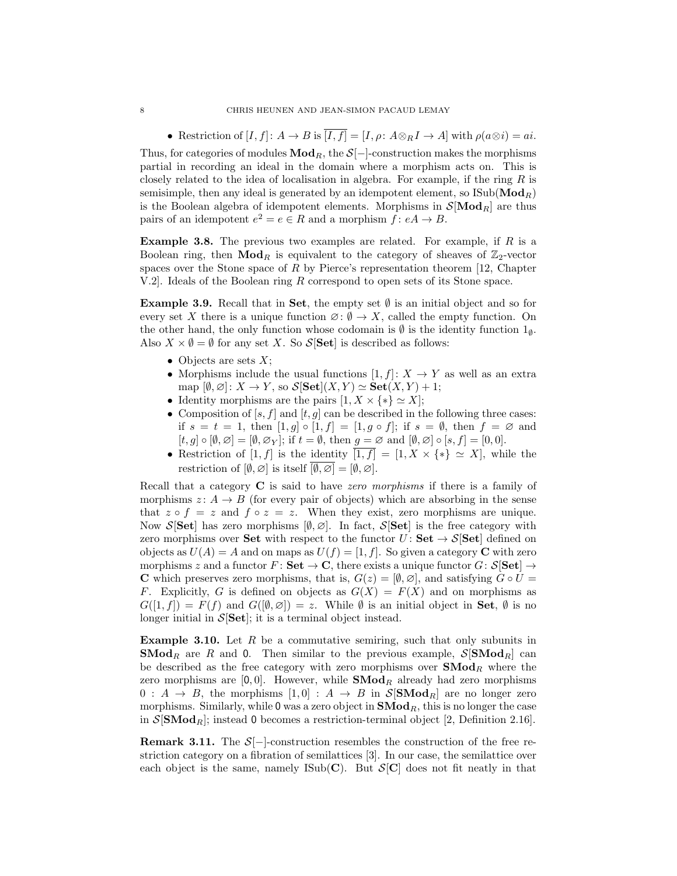• Restriction of  $[I, f]: A \to B$  is  $\overline{[I, f]} = [I, \rho: A \otimes_R I \to A]$  with  $\rho(a \otimes i) = ai$ . Thus, for categories of modules  $\mathbf{Mod}_R$ , the  $\mathcal{S}[-]$ -construction makes the morphisms partial in recording an ideal in the domain where a morphism acts on. This is closely related to the idea of localisation in algebra. For example, if the ring  $R$  is semisimple, then any ideal is generated by an idempotent element, so  $\text{Isub}(\text{Mod}_R)$ is the Boolean algebra of idempotent elements. Morphisms in  $\mathcal{S}[\text{Mod}_R]$  are thus pairs of an idempotent  $e^2 = e \in R$  and a morphism  $f: eA \to B$ .

**Example 3.8.** The previous two examples are related. For example, if  $R$  is a Boolean ring, then  $\mathbf{Mod}_R$  is equivalent to the category of sheaves of  $\mathbb{Z}_2$ -vector spaces over the Stone space of  $R$  by Pierce's representation theorem [12, Chapter V.2]. Ideals of the Boolean ring R correspond to open sets of its Stone space.

**Example 3.9.** Recall that in Set, the empty set  $\emptyset$  is an initial object and so for every set X there is a unique function  $\emptyset$ :  $\emptyset \to X$ , called the empty function. On the other hand, the only function whose codomain is  $\emptyset$  is the identity function  $1_{\emptyset}$ . Also  $X \times \emptyset = \emptyset$  for any set X. So  $S[Set]$  is described as follows:

- Objects are sets  $X$ ;
- Morphisms include the usual functions  $[1, f]: X \to Y$  as well as an extra map  $[\emptyset, \emptyset] : X \to Y$ , so  $\mathcal{S}[\mathbf{Set}](X, Y) \simeq \mathbf{Set}(X, Y) + 1$ ;
- Identity morphisms are the pairs  $[1, X \times \{*\} \simeq X];$
- Composition of  $[s, f]$  and  $[t, g]$  can be described in the following three cases: if  $s = t = 1$ , then  $[1, g] \circ [1, f] = [1, g \circ f]$ ; if  $s = \emptyset$ , then  $f = \emptyset$  and  $[t, g] \circ [\emptyset, \emptyset] = [\emptyset, \emptyset_{Y}];$  if  $t = \emptyset$ , then  $g = \emptyset$  and  $[\emptyset, \emptyset] \circ [s, f] = [0, 0].$
- Restriction of [1, f] is the identity  $\overline{[1, f]} = [1, X \times \{*\} \simeq X]$ , while the restriction of  $[\emptyset, \emptyset]$  is itself  $\overline{\emptyset, \emptyset} = [\emptyset, \emptyset]$ .

Recall that a category  $C$  is said to have zero morphisms if there is a family of morphisms  $z: A \rightarrow B$  (for every pair of objects) which are absorbing in the sense that  $z \circ f = z$  and  $f \circ z = z$ . When they exist, zero morphisms are unique. Now S[Set] has zero morphisms  $[\emptyset, \emptyset]$ . In fact, S[Set] is the free category with zero morphisms over Set with respect to the functor  $U:$  Set  $\rightarrow$  S[Set] defined on objects as  $U(A) = A$  and on maps as  $U(f) = [1, f]$ . So given a category **C** with zero morphisms z and a functor  $F: \mathbf{Set} \to \mathbf{C}$ , there exists a unique functor  $G: \mathcal{S}[\mathbf{Set}] \to$ **C** which preserves zero morphisms, that is,  $G(z) = [\emptyset, \emptyset]$ , and satisfying  $G \circ U =$ F. Explicitly, G is defined on objects as  $G(X) = F(X)$  and on morphisms as  $G([1, f]) = F(f)$  and  $G([\emptyset, \emptyset]) = z$ . While  $\emptyset$  is an initial object in **Set**,  $\emptyset$  is no longer initial in  $S[Set]$ ; it is a terminal object instead.

**Example 3.10.** Let  $R$  be a commutative semiring, such that only subunits in **SMod**<sub>R</sub> are R and 0. Then similar to the previous example,  $S[\text{SMod}_R]$  can be described as the free category with zero morphisms over  $\mathbf{SMod}_R$  where the zero morphisms are  $[0, 0]$ . However, while **SMod**<sub>R</sub> already had zero morphisms  $0: A \rightarrow B$ , the morphisms  $[1, 0]: A \rightarrow B$  in  $\mathcal{S}[\mathbf{SMod}_R]$  are no longer zero morphisms. Similarly, while  $0$  was a zero object in  $\mathbf{SMod}_R$ , this is no longer the case in  $\mathcal{S}[\mathbf{SMod}_R]$ ; instead 0 becomes a restriction-terminal object [2, Definition 2.16].

**Remark 3.11.** The  $S[-]$ -construction resembles the construction of the free restriction category on a fibration of semilattices [3]. In our case, the semilattice over each object is the same, namely ISub(C). But  $S[C]$  does not fit neatly in that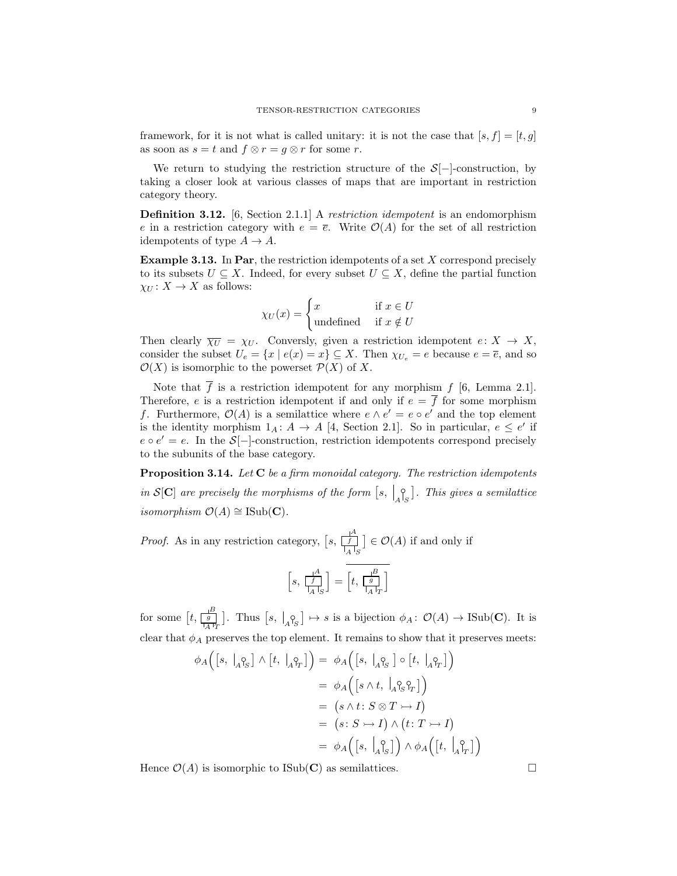framework, for it is not what is called unitary: it is not the case that  $[s, f] = [t, g]$ as soon as  $s = t$  and  $f \otimes r = g \otimes r$  for some r.

We return to studying the restriction structure of the  $S[-]$ -construction, by taking a closer look at various classes of maps that are important in restriction category theory.

**Definition 3.12.** [6, Section 2.1.1] A restriction idempotent is an endomorphism e in a restriction category with  $e = \overline{e}$ . Write  $\mathcal{O}(A)$  for the set of all restriction idempotents of type  $A \to A$ .

Example 3.13. In Par, the restriction idempotents of a set X correspond precisely to its subsets  $U \subseteq X$ . Indeed, for every subset  $U \subseteq X$ , define the partial function  $\chi_U \colon X \to X$  as follows:

$$
\chi_U(x) = \begin{cases} x & \text{if } x \in U \\ \text{undefined} & \text{if } x \notin U \end{cases}
$$

Then clearly  $\overline{\chi_U} = \chi_U$ . Conversly, given a restriction idempotent  $e: X \to X$ , consider the subset  $U_e = \{x \mid e(x) = x\} \subseteq X$ . Then  $\chi_{U_e} = e$  because  $e = \overline{e}$ , and so  $\mathcal{O}(X)$  is isomorphic to the powerset  $\mathcal{P}(X)$  of X.

Note that  $\overline{f}$  is a restriction idempotent for any morphism  $f$  [6, Lemma 2.1]. Therefore, e is a restriction idempotent if and only if  $e = \overline{f}$  for some morphism f. Furthermore,  $\mathcal{O}(A)$  is a semilattice where  $e \wedge e' = e \circ e'$  and the top element is the identity morphism  $1_A: A \to A$  [4, Section 2.1]. So in particular,  $e \leq e'$  if  $e \circ e' = e$ . In the  $S[-]$ -construction, restriction idempotents correspond precisely to the subunits of the base category.

Proposition 3.14. Let C be a firm monoidal category. The restriction idempotents in  $\mathcal{S}[\mathbf{C}]$  are precisely the morphisms of the form  $[s, \begin{bmatrix} 0 \\ A \end{bmatrix}]$ . This gives a semilattice isomorphism  $\mathcal{O}(A) \cong \text{ISub}(\mathbf{C})$ .

*Proof.* As in any restriction category,  $\left[s, \frac{f}{\vert A \vert_S}\right]$  $\left[\frac{A}{A}\right] \in \mathcal{O}(A)$  if and only if  $\frac{B}{1}$ ]

 $\left[s, \frac{f}{\left|A\right|_S}\right]$  $\left[\frac{A}{\Gamma_S}\right]=\left[t,\frac{B}{\Gamma_A}\right]$ 

for some  $[t, \frac{B}{\vert A\vert_T}]$ . Thus  $[s, \vert_A\underset{A}{\circ_S}] \mapsto s$  is a bijection  $\phi_A: \mathcal{O}(A) \to \text{ISub}(\mathbf{C})$ . It is clear that  $\phi_A$  preserves the top element. It remains to show that it preserves meets:

$$
\phi_A\Big([s, \big|_A \hat{P}_S] \wedge [t, \big|_A \hat{P}_T]\Big) = \phi_A\Big([s, \big|_A \hat{P}_S] \circ [t, \big|_A \hat{P}_T]\Big)
$$
  

$$
= \phi_A\Big([s \wedge t, \big|_A \hat{P}_S \hat{P}_T]\Big)
$$
  

$$
= (s \wedge t : S \otimes T \rightarrow I)
$$
  

$$
= (s : S \rightarrow I) \wedge (t : T \rightarrow I)
$$
  

$$
= \phi_A\Big([s, \big|_A \hat{P}_S]\Big) \wedge \phi_A\Big([t, \big|_A \hat{P}_T]\Big)
$$

Hence  $\mathcal{O}(A)$  is isomorphic to ISub(C) as semilattices.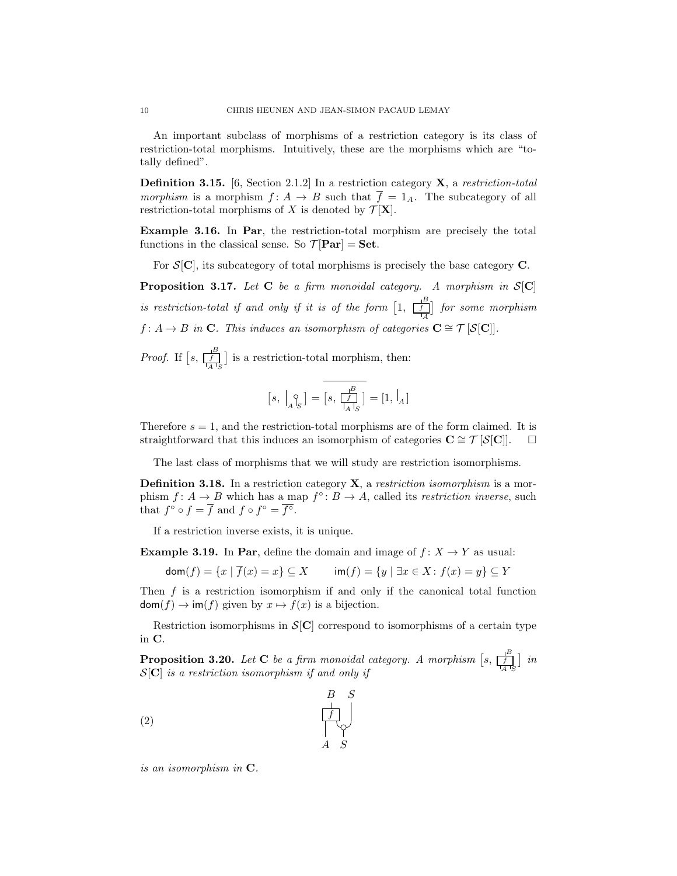An important subclass of morphisms of a restriction category is its class of restriction-total morphisms. Intuitively, these are the morphisms which are "totally defined".

**Definition 3.15.** [6, Section 2.1.2] In a restriction category  $\bf{X}$ , a restriction-total morphism is a morphism  $f: A \to B$  such that  $\overline{f} = 1_A$ . The subcategory of all restriction-total morphisms of X is denoted by  $\mathcal{T}[\mathbf{X}]$ .

Example 3.16. In Par, the restriction-total morphism are precisely the total functions in the classical sense. So  $\mathcal{T}[Par] = Set$ .

For  $S[\mathbf{C}]$ , its subcategory of total morphisms is precisely the base category  $\mathbf{C}$ .

**Proposition 3.17.** Let C be a firm monoidal category. A morphism in  $S[C]$ is restriction-total if and only if it is of the form  $\left[1, \frac{\mid B \mid}{\mid A}\right]$  for some morphism  $f: A \to B$  in C. This induces an isomorphism of categories  $C \cong \mathcal{T} [S[C]]$ .

*Proof.* If  $\left[s, \frac{1}{\prod_{A}^{B}}\right]$  is a restriction-total morphism, then:

$$
\left[s,\; \left| \begin{smallmatrix} \circ \\[1mm] A \end{smallmatrix}\right|_S\right] = \left[s,\; \frac{\mid ^B_{\hspace{-.5mm}S}}{\mid_{A}\mid_S}\right] = [1,\, \left| \begin{smallmatrix} \cdot \\[1mm] A \end{smallmatrix}\right]
$$

Therefore  $s = 1$ , and the restriction-total morphisms are of the form claimed. It is straightforward that this induces an isomorphism of categories  $C \cong T |S|C||. \square$ 

The last class of morphisms that we will study are restriction isomorphisms.

**Definition 3.18.** In a restriction category  $\bf{X}$ , a restriction isomorphism is a morphism  $f: A \to B$  which has a map  $f^{\circ}: B \to A$ , called its *restriction inverse*, such that  $f^{\circ} \circ f = \overline{f}$  and  $f \circ f^{\circ} = \overline{f^{\circ}}$ .

If a restriction inverse exists, it is unique.

**Example 3.19.** In Par, define the domain and image of  $f: X \to Y$  as usual:

 $dom(f) = \{x \mid \overline{f}(x) = x\} \subseteq X$  im $(f) = \{y \mid \exists x \in X : f(x) = y\} \subseteq Y$ 

Then  $f$  is a restriction isomorphism if and only if the canonical total function  $\text{dom}(f) \to \text{im}(f)$  given by  $x \mapsto f(x)$  is a bijection.

Restriction isomorphisms in  $\mathcal{S}[\mathbf{C}]$  correspond to isomorphisms of a certain type in C.

**Proposition 3.20.** Let **C** be a firm monoidal category. A morphism  $[s, \frac{1^B}{|A|^S}]$  in  $S[C]$  is a restriction isomorphism if and only if



is an isomorphism in C.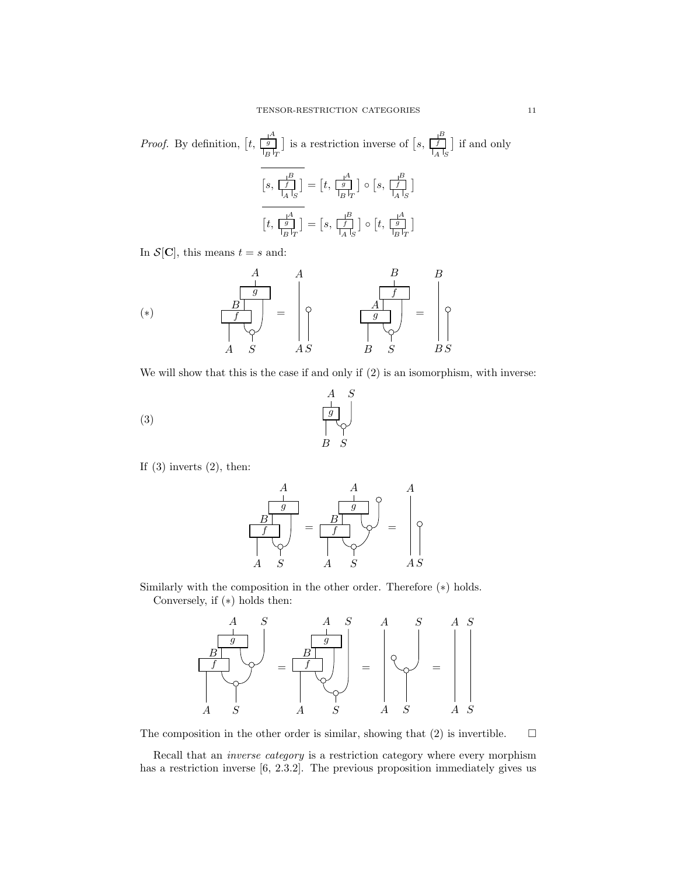*Proof.* By definition, 
$$
[t, \frac{1^A}{\frac{g}{B^T r}}]
$$
 is a restriction inverse of  $[s, \frac{1^B}{\frac{f}{A^T s}}]$  if and only 
$$
\frac{[s, \frac{1^B}{\frac{f}{A^T s}}]}{[s, \frac{f}{\frac{f}{A^T s}}]} = [t, \frac{1^A}{\frac{g}{B^T r}}] \circ [s, \frac{1^B}{\frac{f}{A^T s}}]
$$

$$
[t, \frac{1^A}{\frac{g}{B^T r}}] = [s, \frac{1^B}{\frac{f}{A^T s}}] \circ [t, \frac{1^A}{\frac{g}{B^T r}}]
$$

In  $\mathcal{S}[\mathbf{C}]$ , this means  $t = s$  and:

$$
(*) \qquad \qquad \begin{array}{c|c}\n & A & A \\
 \hline\n\frac{g}{g} \\
 \hline\n\frac{f}{g} \\
 \hline\n\end{array}\n = \n \begin{array}{c|c}\n & B & B \\
 \hline\n\frac{f}{f} \\
 \hline\n\frac{g}{g} \\
 \hline\n\end{array}\n = \n \begin{array}{c|c}\n & B \\
 \hline\n\frac{f}{g} \\
 \hline\n\frac{g}{g} \\
 \hline\n\end{array}\n = \n \begin{array}{c|c}\n & B \\
 \hline\n\frac{g}{g} \\
 \hline\n\frac{g}{g} \\
 \hline\n\end{array}
$$

We will show that this is the case if and only if (2) is an isomorphism, with inverse:

S

A

(3)

$$
\begin{array}{c}\n\downarrow \\
\uparrow \\
B & S\n\end{array}
$$

If  $(3)$  inverts  $(2)$ , then:



Similarly with the composition in the other order. Therefore (∗) holds. Conversely, if (∗) holds then:



The composition in the other order is similar, showing that (2) is invertible.  $\Box$ 

Recall that an inverse category is a restriction category where every morphism has a restriction inverse [6, 2.3.2]. The previous proposition immediately gives us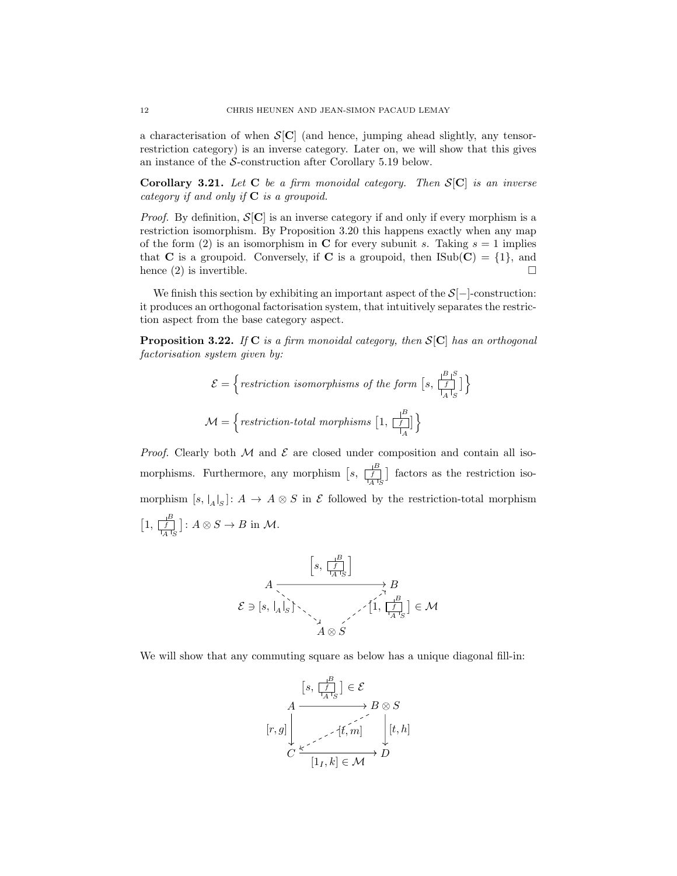a characterisation of when  $S[C]$  (and hence, jumping ahead slightly, any tensorrestriction category) is an inverse category. Later on, we will show that this gives an instance of the S-construction after Corollary 5.19 below.

Corollary 3.21. Let C be a firm monoidal category. Then  $S[C]$  is an inverse category if and only if  $C$  is a groupoid.

*Proof.* By definition,  $S[C]$  is an inverse category if and only if every morphism is a restriction isomorphism. By Proposition 3.20 this happens exactly when any map of the form (2) is an isomorphism in C for every subunit s. Taking  $s = 1$  implies that **C** is a groupoid. Conversely, if **C** is a groupoid, then  $\text{Isub}(\mathbf{C}) = \{1\}$ , and hence (2) is invertible.  $\square$ 

We finish this section by exhibiting an important aspect of the  $S[-]$ -construction: it produces an orthogonal factorisation system, that intuitively separates the restriction aspect from the base category aspect.

**Proposition 3.22.** If C is a firm monoidal category, then  $S[C]$  has an orthogonal factorisation system given by:

$$
\mathcal{E} = \left\{ \text{restriction isomorphisms of the form } [s, \frac{|B|}{|A|} \right\}
$$

$$
\mathcal{M} = \left\{ \text{restriction-total morphisms } [1, \frac{|B|}{|A|}] \right\}
$$

*Proof.* Clearly both  $M$  and  $\mathcal E$  are closed under composition and contain all isomorphisms. Furthermore, any morphism  $\left[s, \frac{1}{\lfloor A \rfloor_S}\right]$  factors as the restriction isomorphism  $[s, |A|_S]: A \to A \otimes S$  in  $\mathcal E$  followed by the restriction-total morphism  $\left[1, \frac{B}{\prod\limits_{A}^{H} S}\right]: A \otimes S \to B$  in  $\mathcal{M}$ .

$$
\mathcal{E} \ni [s, \frac{1}{\prod_{A \subset S}^{B}}]
$$
\n
$$
\mathcal{E} \ni [s, \frac{1}{A} \cdot s] \rightarrow B
$$
\n
$$
\mathcal{E} \ni [s, \frac{1}{A} \cdot s] \rightarrow \frac{1}{\prod_{A \subset S}^{A} s} \rightarrow \frac{1}{\prod_{A \subset S}^{B} s} \in \mathcal{M}
$$

We will show that any commuting square as below has a unique diagonal fill-in:

$$
\begin{array}{ccc}\n\left[s, \frac{1}{\prod\limits_{A}^{B} S}\right] & \in \mathcal{E} \\
A & \longrightarrow & B \otimes S \\
\left[r, g\right] & & \downarrow \\
C & \longleft[\left[1, k\right] \in \mathcal{M} & D\n\end{array}
$$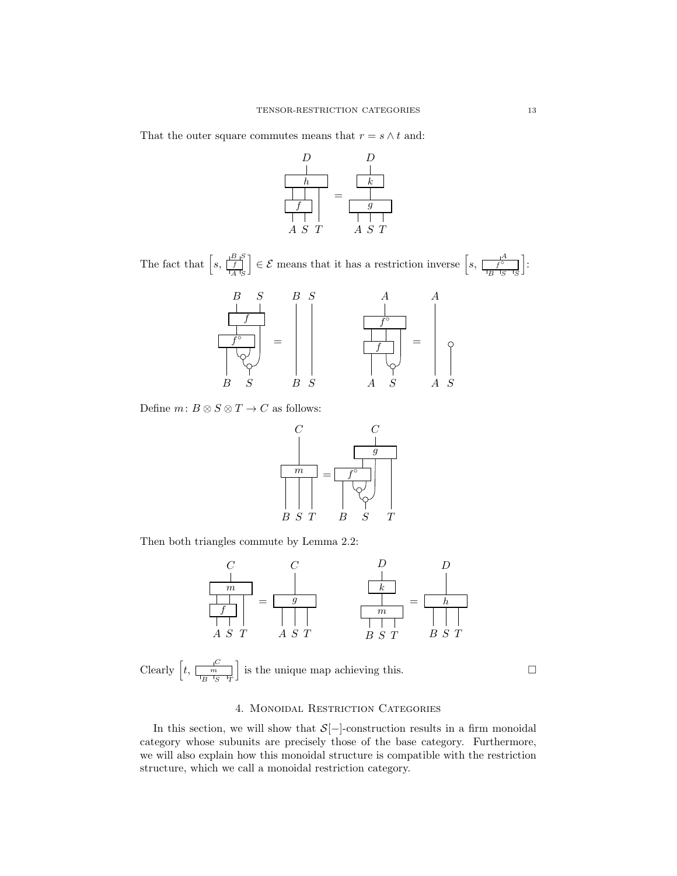That the outer square commutes means that  $r = s \wedge t$  and:



The fact that  $\left[ s, \frac{\left| \frac{B}{f} \right|}{\frac{f}{A} \cdot s} \right]$  $\begin{bmatrix} \frac{B+S}{f} \end{bmatrix} \in \mathcal{E}$  means that it has a restriction inverse  $\left[ s, \frac{B+S}{f} \right]$  $B$   $^{\dagger}S$   $^{\dagger}S$ A S i :



Define  $m: B \otimes S \otimes T \to C$  as follows:



Then both triangles commute by Lemma 2.2:



Clearly  $\left[t, \frac{C}{\left[\frac{m}{B}\right]S - T}\right]$ C S is the unique map achieving this.  $\square$ 

## 4. Monoidal Restriction Categories

In this section, we will show that  $S[-]$ -construction results in a firm monoidal category whose subunits are precisely those of the base category. Furthermore, we will also explain how this monoidal structure is compatible with the restriction structure, which we call a monoidal restriction category.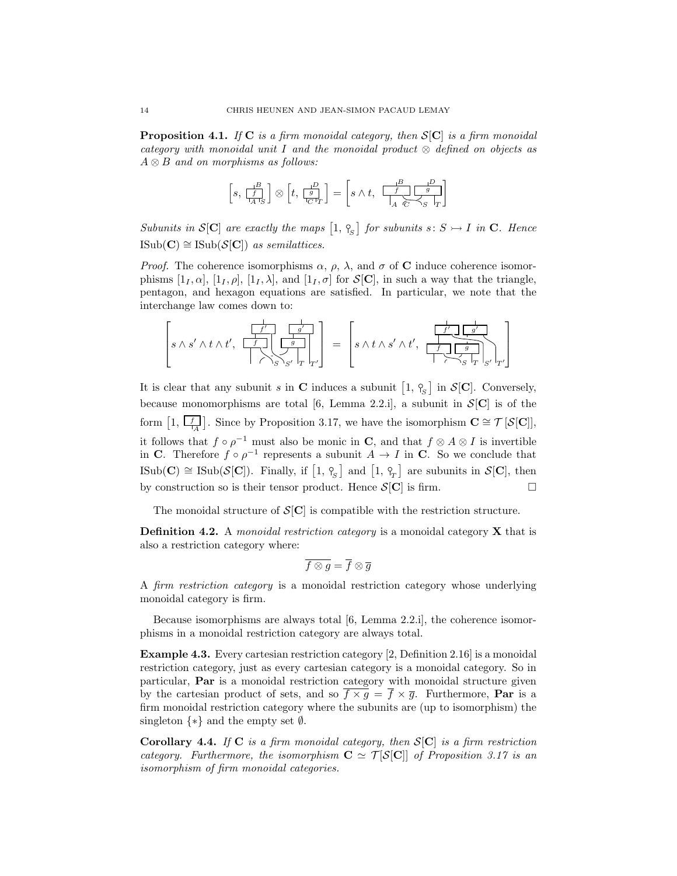**Proposition 4.1.** If C is a firm monoidal category, then  $S[C]$  is a firm monoidal category with monoidal unit I and the monoidal product  $\otimes$  defined on objects as  $A \otimes B$  and on morphisms as follows:

$$
\left[s,\,\frac{1^B}{\left[s\atop A^{-1}S\right]}\right]\otimes \left[t,\,\frac{1^D}{\left[s\atop C^{-1}T\right]}\right]=\left[s\wedge t,\,\,\frac{1^B}{\left[s\atop A\right]\sum\limits_{C^{-1}S}\left[s\atop T\right]}\right]
$$

Subunits in  $\mathcal{S}[\mathbf{C}]$  are exactly the maps  $\left[1, \frac{\mathcal{S}}{S}\right]$  for subunits  $s: S \rightarrow I$  in  $\mathbf{C}$ . Hence  $\text{ISub}(\mathbf{C}) \cong \text{ISub}(\mathcal{S}[\mathbf{C}])$  as semilattices.

*Proof.* The coherence isomorphisms  $\alpha$ ,  $\rho$ ,  $\lambda$ , and  $\sigma$  of **C** induce coherence isomorphisms  $[1_I, \alpha], [1_I, \rho], [1_I, \lambda],$  and  $[1_I, \sigma]$  for  $\mathcal{S}[\mathbf{C}],$  in such a way that the triangle, pentagon, and hexagon equations are satisfied. In particular, we note that the interchange law comes down to:

$$
\left[s\land s'\land t\land t',\begin{array}{c}\begin{array}{|c|c|c|}\hline \rule{0ex}{1ex}\rule{0ex}{1ex}\\\hline \rule{0ex}{1ex} \end{array} & \begin{array}{|c|c|c|}\hline \rule{0ex}{1ex}\\\hline \rule{0ex}{1ex}\\\hline \end{array} & s'\land t\land t' \end{array}\right] = \begin{bmatrix} \begin{array}{|c|c|c|}\hline \rule{0ex}{1ex}\\\hline \rule{0ex}{1ex}\\\hline \end{array} & \begin{array}{|c|c|}\hline \rule{0ex}{1ex}\\\hline \rule{0ex}{1ex}\\\hline \end{array} & \begin{array}{|c|c|}\hline \rule{0ex}{1ex}\\\hline \rule{0ex}{1ex}\\\hline \end{array} & \begin{array}{|c|c|}\hline \rule{0ex}{1ex}\\\hline \rule{0ex}{1ex}\\\hline \end{array} & \begin{array}{|c|c|}\hline \rule{0ex}{1ex}\\\hline \rule{0ex}{1ex}\\\hline \end{array} & \begin{array}{|c|c|}\hline \rule{0ex}{1ex}\\\hline \rule{0ex}{1ex}\\\hline \end{array} & \begin{array}{|c|c|}\hline \rule{0ex}{1ex}\\\hline \rule{0ex}{1ex}\\\hline \end{array} & \begin{array}{|c|c|}\hline \rule{0ex}{1ex}\\\hline \rule{0ex}{1ex}\\\hline \end{array} & \begin{array}{|c|c|}\hline \rule{0ex}{1ex}\\\hline \rule{0ex}{1ex}\\\hline \end{array} & \begin{array}{|c|c|}\hline \rule{0ex}{1ex}& \rule{0ex}{1ex}\\\hline \rule{0ex}{1ex}\\\hline \end{array} & \begin{array}{|c|c|}\hline \rule{0ex}{1ex}\\\hline \rule{0ex}{1ex}\\\hline \end{array} & \begin{array}{|c|c|}\hline \rule{0ex}{1ex}\\\hline \rule{0ex}{1ex}\\\hline \end{array} & \begin{array}{|c|c|}\hline \rule{0ex}{1ex}\\\hline \rule{0ex}{1ex}\\\hline \end{array} & \begin{array}{|c|c|}\hline \rule{0ex}{1ex}\\\hline \rule{0ex}{1ex}\\\hline \rule{0ex}{1ex}\\\hline \end{array}
$$

It is clear that any subunit s in C induces a subunit  $[1, \, \gamma_{\rm s}]$  in  $\mathcal{S}[\mathbf{C}]$ . Conversely, because monomorphisms are total [6, Lemma 2.2.i], a subunit in  $\mathcal{S}[\mathbf{C}]$  is of the form  $[1, \overline{\Box}$  $\left[\frac{1}{A}\right]$ . Since by Proposition 3.17, we have the isomorphism  $\mathbf{C} \cong \mathcal{T}[\mathcal{S}[\mathbf{C}]]$ , it follows that  $f \circ \rho^{-1}$  must also be monic in C, and that  $f \otimes A \otimes I$  is invertible in C. Therefore  $f \circ \rho^{-1}$  represents a subunit  $A \to I$  in C. So we conclude that  $\text{Isub}(\mathbf{C}) \cong \text{Isub}(\mathcal{S}[\mathbf{C}])$ . Finally, if  $\begin{bmatrix} 1, \gamma_{\scriptscriptstyle S} \end{bmatrix}$  and  $\begin{bmatrix} 1, \gamma_{\scriptscriptstyle T} \end{bmatrix}$  are subunits in  $\mathcal{S}[\mathbf{C}]$ , then by construction so is their tensor product. Hence  $S[\mathbf{C}]$  is firm.

The monoidal structure of  $\mathcal{S}[\mathbf{C}]$  is compatible with the restriction structure.

**Definition 4.2.** A monoidal restriction category is a monoidal category  $X$  that is also a restriction category where:

$$
\overline{f\otimes g}=\overline{f}\otimes \overline{g}
$$

A firm restriction category is a monoidal restriction category whose underlying monoidal category is firm.

Because isomorphisms are always total [6, Lemma 2.2.i], the coherence isomorphisms in a monoidal restriction category are always total.

Example 4.3. Every cartesian restriction category [2, Definition 2.16] is a monoidal restriction category, just as every cartesian category is a monoidal category. So in particular, Par is a monoidal restriction category with monoidal structure given by the cartesian product of sets, and so  $\overline{f \times g} = \overline{f} \times \overline{g}$ . Furthermore, **Par** is a firm monoidal restriction category where the subunits are (up to isomorphism) the singleton  $\{*\}$  and the empty set  $\emptyset$ .

**Corollary 4.4.** If C is a firm monoidal category, then  $S[C]$  is a firm restriction category. Furthermore, the isomorphism  $C \simeq \mathcal{T}[\mathcal{S}[C]]$  of Proposition 3.17 is an isomorphism of firm monoidal categories.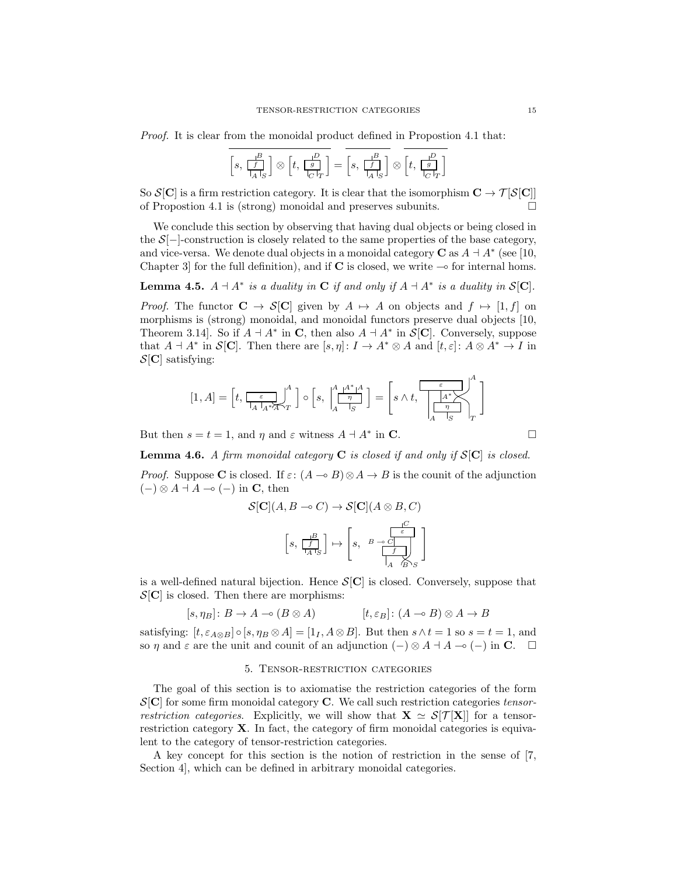Proof. It is clear from the monoidal product defined in Propostion 4.1 that:

$$
\left[s,\begin{smallmatrix}\frac{B}{f}\\\frac{I}{A\;|_S\end{smallmatrix}\right]\otimes \left[t,\begin{smallmatrix}\frac{P}{g}\\\frac{I}{C\;|_T\end{smallmatrix}\right]=\left[s,\begin{smallmatrix}\frac{B}{f}\\\frac{I}{A\;|_S\end{smallmatrix}\right]\otimes \left[t,\begin{smallmatrix}\frac{P}{g}\\\frac{I}{C\;|_T\end{smallmatrix}\right]
$$

So  $S[\mathbf{C}]$  is a firm restriction category. It is clear that the isomorphism  $\mathbf{C} \to \mathcal{T}[S[\mathbf{C}]]$ of Propostion 4.1 is (strong) monoidal and preserves subunits.

We conclude this section by observing that having dual objects or being closed in the  $S[-]$ -construction is closely related to the same properties of the base category, and vice-versa. We denote dual objects in a monoidal category **C** as  $A \dashv A^*$  (see [10, Chapter 3 for the full definition), and if C is closed, we write  $\sim$  for internal homs.

**Lemma 4.5.**  $A \dashv A^*$  is a duality in **C** if and only if  $A \dashv A^*$  is a duality in  $S[\mathbf{C}]$ .

*Proof.* The functor  $C \to S[C]$  given by  $A \mapsto A$  on objects and  $f \mapsto [1, f]$  on morphisms is (strong) monoidal, and monoidal functors preserve dual objects [10, Theorem 3.14. So if  $A \dashv A^*$  in C, then also  $A \dashv A^*$  in  $\mathcal{S}[\mathbf{C}]$ . Conversely, suppose that  $A \dashv A^*$  in  $\mathcal{S}[\mathbf{C}]$ . Then there are  $[s, \eta]: I \to A^* \otimes A$  and  $[t, \varepsilon]: A \otimes A^* \to I$  in  $\mathcal{S}[\mathbf{C}]$  satisfying:

$$
[1,A]=\left[t,\frac{\varepsilon}{\frac{1}{|A|}A^*\overline{A}\cdot T}\right]^A\Big]\circ\Big[s,\,\Big|\frac{A}{A}\frac{A^*}{\frac{1}{|S|}}^A\Big]=\Big[s\wedge t,\,\Bigg[\frac{\varepsilon}{\frac{1}{|A|}A^*\overline{\bigwedge^A}}\Bigg]^A\Bigg]
$$

But then  $s = t = 1$ , and  $\eta$  and  $\varepsilon$  witness  $A \dashv A^*$  in **C**.

**Lemma 4.6.** A firm monoidal category  $C$  is closed if and only if  $S[C]$  is closed.

*Proof.* Suppose C is closed. If  $\varepsilon$ :  $(A \multimap B) \otimes A \rightarrow B$  is the counit of the adjunction  $(-) \otimes A \dashv A \multimap (-)$  in **C**, then

$$
\mathcal{S}[\mathbf{C}](A, B \to C) \to \mathcal{S}[\mathbf{C}](A \otimes B, C)
$$

$$
\left[s, \frac{\frac{B}{f}}{\frac{f}{A \cdot S}}\right] \mapsto \left[s, \frac{\frac{C}{f}}{\frac{f}{A \cdot B \cdot S}}\right]
$$

is a well-defined natural bijection. Hence  $S[\mathbf{C}]$  is closed. Conversely, suppose that  $\mathcal{S}[\mathbf{C}]$  is closed. Then there are morphisms:

$$
[s, \eta_B] \colon B \to A \multimap (B \otimes A) \qquad [t, \varepsilon_B] \colon (A \multimap B) \otimes A \to B
$$

satisfying:  $[t, \varepsilon_{A\otimes B}] \circ [s, \eta_B \otimes A] = [1_I, A \otimes B]$ . But then  $s \wedge t = 1$  so  $s = t = 1$ , and so  $\eta$  and  $\varepsilon$  are the unit and counit of an adjunction  $(-) \otimes A + A \to (-)$  in C.  $\Box$ 

# 5. Tensor-restriction categories

The goal of this section is to axiomatise the restriction categories of the form  $\mathcal{S}[\mathbf{C}]$  for some firm monoidal category **C**. We call such restriction categories tensorrestriction categories. Explicitly, we will show that  $\mathbf{X} \simeq \mathcal{S}[\mathcal{T}|\mathbf{X}]$  for a tensorrestriction category X. In fact, the category of firm monoidal categories is equivalent to the category of tensor-restriction categories.

A key concept for this section is the notion of restriction in the sense of [7, Section 4], which can be defined in arbitrary monoidal categories.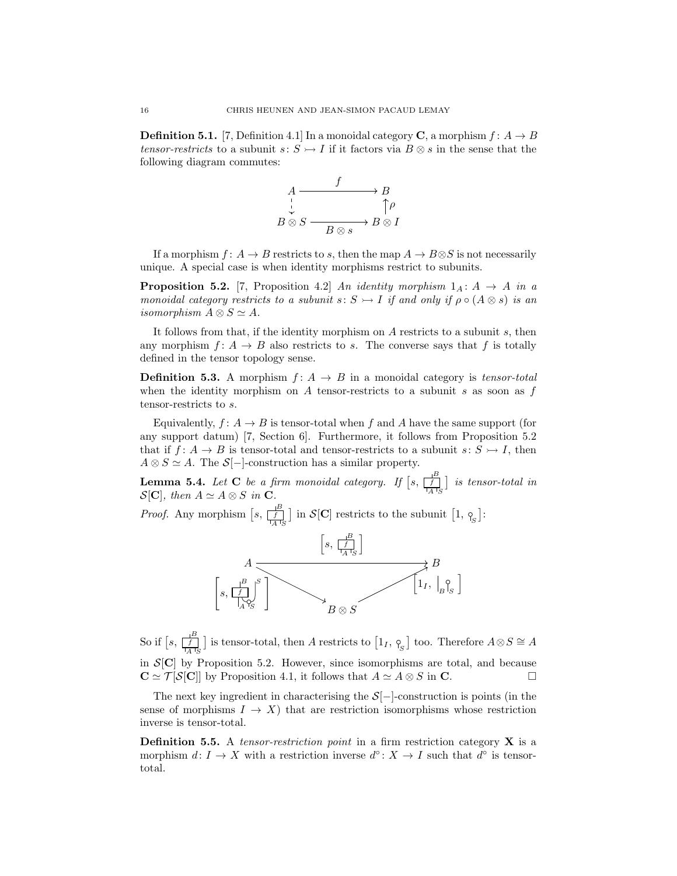**Definition 5.1.** [7, Definition 4.1] In a monoidal category **C**, a morphism  $f: A \rightarrow B$ tensor-restricts to a subunit  $s: S \rightarrow I$  if it factors via  $B \otimes s$  in the sense that the following diagram commutes:



If a morphism  $f: A \to B$  restricts to s, then the map  $A \to B \otimes S$  is not necessarily unique. A special case is when identity morphisms restrict to subunits.

**Proposition 5.2.** [7, Proposition 4.2] An identity morphism  $1_A: A \rightarrow A$  in a monoidal category restricts to a subunit s:  $S \rightarrow I$  if and only if  $\rho \circ (A \otimes s)$  is an isomorphism  $A \otimes S \simeq A$ .

It follows from that, if the identity morphism on A restricts to a subunit s, then any morphism  $f: A \rightarrow B$  also restricts to s. The converse says that f is totally defined in the tensor topology sense.

**Definition 5.3.** A morphism  $f: A \rightarrow B$  in a monoidal category is *tensor-total* when the identity morphism on A tensor-restricts to a subunit s as soon as  $f$ tensor-restricts to s.

Equivalently,  $f: A \rightarrow B$  is tensor-total when f and A have the same support (for any support datum) [7, Section 6]. Furthermore, it follows from Proposition 5.2 that if  $f: A \to B$  is tensor-total and tensor-restricts to a subunit  $s: S \to I$ , then  $A \otimes S \simeq A$ . The  $S[-]$ -construction has a similar property.

**Lemma 5.4.** Let **C** be a firm monoidal category. If  $[s, \frac{1}{[s]}]$  is tensor-total in  $\mathcal{S}[\mathbf{C}],$  then  $A \simeq A \otimes S$  in  $\mathbf{C}.$ 

*Proof.* Any morphism  $\left[s, \frac{1}{\left[f\right]} \right]$  in  $\mathcal{S}[\mathbf{C}]$  restricts to the subunit  $\left[1, \frac{1}{\left[g\right]} \right]$ :



So if  $\left[s, \frac{1}{\lfloor f \rfloor} \right]$  is tensor-total, then A restricts to  $\left[1_I, \gamma_{\overline{S}} \right]$  too. Therefore  $A \otimes S \cong A$ in  $\mathcal{S}[\mathbf{C}]$  by Proposition 5.2. However, since isomorphisms are total, and because  $\mathbf{C} \simeq \mathcal{T}[\mathcal{S}[\mathbf{C}]]$  by Proposition 4.1, it follows that  $A \simeq A \otimes S$  in  $\mathbf{C}$ .

The next key ingredient in characterising the  $S[-]$ -construction is points (in the sense of morphisms  $I \to X$ ) that are restriction isomorphisms whose restriction inverse is tensor-total.

**Definition 5.5.** A tensor-restriction point in a firm restriction category  $X$  is a morphism  $d: I \to X$  with a restriction inverse  $d^{\circ}: X \to I$  such that  $d^{\circ}$  is tensortotal.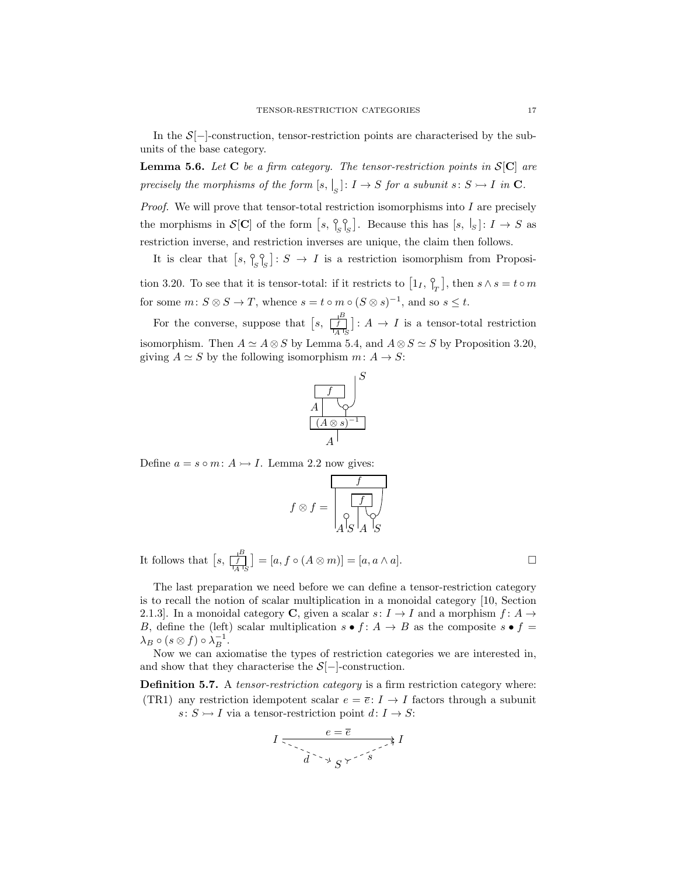In the  $S[-]$ -construction, tensor-restriction points are characterised by the subunits of the base category.

**Lemma 5.6.** Let C be a firm category. The tensor-restriction points in  $S[C]$  are precisely the morphisms of the form  $[s, \cdot]_S : I \to S$  for a subunit  $s : S \rightarrow I$  in  $\mathbf C$ .

Proof. We will prove that tensor-total restriction isomorphisms into I are precisely the morphisms in  $\mathcal{S}[\mathbf{C}]$  of the form  $[s, \, \frac{\circ}{s} \,]_S$ . Because this has  $[s, \, \cdot]_S$ :  $I \to S$  as restriction inverse, and restriction inverses are unique, the claim then follows.

It is clear that  $[s, \, \frac{\circ}{[s, s]_S}]: S \to I$  is a restriction isomorphism from Proposition 3.20. To see that it is tensor-total: if it restricts to  $\left[1_I, \frac{0}{I_I}\right]$ , then  $s \wedge s = t \circ m$ for some  $m: S \otimes S \to T$ , whence  $s = t \circ m \circ (S \otimes s)^{-1}$ , and so  $s \leq t$ .

For the converse, suppose that  $\left[ s, \frac{\frac{B}{f}}{\frac{I}{A} I_S} \right] : A \to I$  is a tensor-total restriction isomorphism. Then  $A \simeq A \otimes S$  by Lemma 5.4, and  $A \otimes S \simeq S$  by Proposition 3.20, giving  $A \simeq S$  by the following isomorphism  $m: A \to S$ :



Define  $a = s \circ m : A \rightarrow I$ . Lemma 2.2 now gives:

$$
f \otimes f = \boxed{\frac{f}{\begin{array}{c} f \\ \downarrow \\ A \mid S \mid A \mid S \end{array}}} \quad \text{and} \quad
$$

It follows that  $\left[ s, \frac{B}{\left| A \right| S} \right] = \left[ a, f \circ (A \otimes m) \right] = \left[ a, a \wedge a \right]$ .

The last preparation we need before we can define a tensor-restriction category is to recall the notion of scalar multiplication in a monoidal category [10, Section 2.1.3]. In a monoidal category C, given a scalar  $s: I \to I$  and a morphism  $f: A \to I$ B, define the (left) scalar multiplication  $s \bullet f : A \to B$  as the composite  $s \bullet f =$  $\lambda_B \circ (s \otimes f) \circ \lambda_B^{-1}.$ 

Now we can axiomatise the types of restriction categories we are interested in, and show that they characterise the  $S[-]$ -construction.

Definition 5.7. A *tensor-restriction category* is a firm restriction category where: (TR1) any restriction idempotent scalar  $e = \overline{e}: I \rightarrow I$  factors through a subunit  $s: S \rightarrow I$  via a tensor-restriction point  $d: I \rightarrow S$ :

$$
I \xrightarrow{e = \overline{e}} I \xrightarrow{\overline{e} \xrightarrow{\overline{e}} I}
$$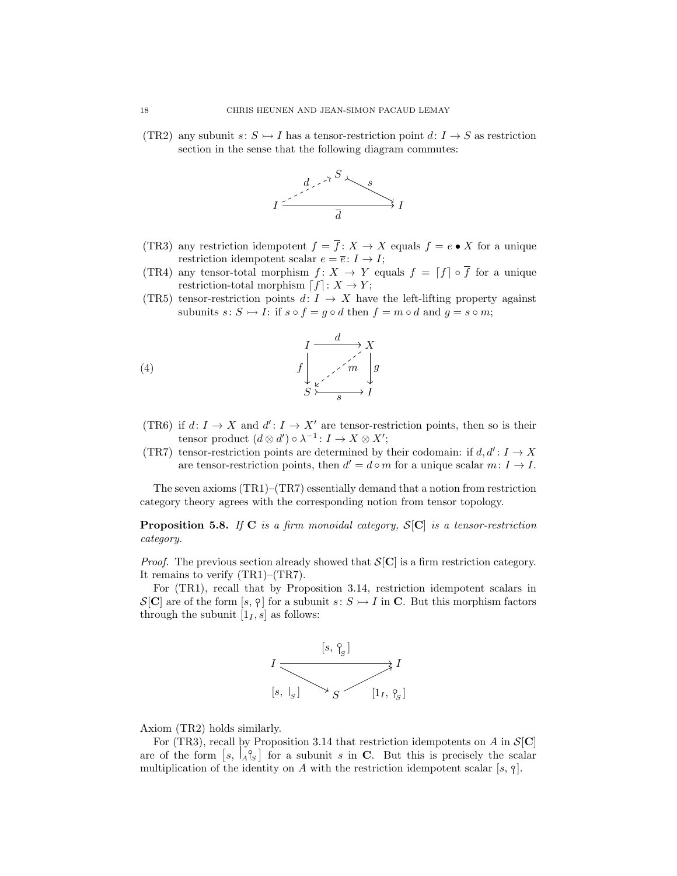(TR2) any subunit  $s: S \rightarrow I$  has a tensor-restriction point  $d: I \rightarrow S$  as restriction section in the sense that the following diagram commutes:



- (TR3) any restriction idempotent  $f = \overline{f} : X \to X$  equals  $f = e \bullet X$  for a unique restriction idempotent scalar  $e = \overline{e} : I \to I$ ;
- (TR4) any tensor-total morphism  $f: X \to Y$  equals  $f = \lceil f \rceil \circ \overline{f}$  for a unique restriction-total morphism  $[f] : X \to Y;$
- (TR5) tensor-restriction points  $d: I \rightarrow X$  have the left-lifting property against subunits  $s: S \rightarrow I$ : if  $s \circ f = q \circ d$  then  $f = m \circ d$  and  $q = s \circ m$ ;



- (TR6) if  $d: I \to X$  and  $d': I \to X'$  are tensor-restriction points, then so is their tensor product  $(d \otimes d') \circ \lambda^{-1} : I \to X \otimes X';$
- (TR7) tensor-restriction points are determined by their codomain: if  $d, d' : I \rightarrow X$ are tensor-restriction points, then  $d' = d \circ m$  for a unique scalar  $m: I \to I$ .

The seven axioms  $(TR1)$ – $(TR7)$  essentially demand that a notion from restriction category theory agrees with the corresponding notion from tensor topology.

**Proposition 5.8.** If C is a firm monoidal category,  $S[C]$  is a tensor-restriction category.

*Proof.* The previous section already showed that  $S[\mathbf{C}]$  is a firm restriction category. It remains to verify (TR1)–(TR7).

For (TR1), recall that by Proposition 3.14, restriction idempotent scalars in  $\mathcal{S}[\mathbf{C}]$  are of the form  $[s, \gamma]$  for a subunit  $s: S \rightarrow I$  in C. But this morphism factors through the subunit  $[1<sub>I</sub>, s]$  as follows:



Axiom (TR2) holds similarly.

For (TR3), recall by Proposition 3.14 that restriction idempotents on A in  $\mathcal{S}[\mathbf{C}]$ are of the form  $\left[ s, \frac{\vert A \vert^2}{2} \right]$  for a subunit s in C. But this is precisely the scalar multiplication of the identity on A with the restriction idempotent scalar [s,  $\varphi$ ].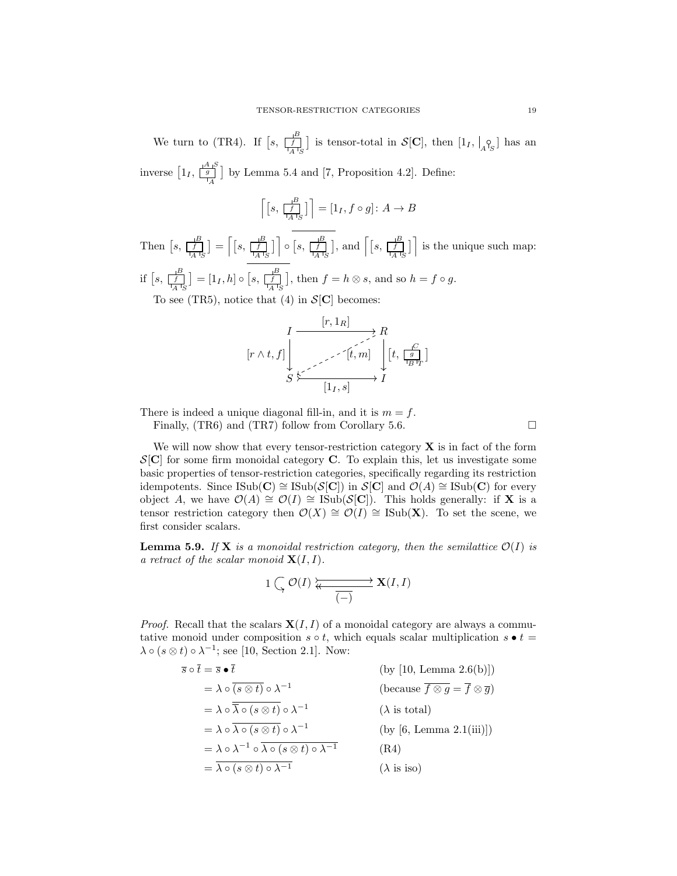We turn to (TR4). If  $\left[s, \frac{1}{\lfloor f \rfloor}\right]$  is tensor-total in  $\mathcal{S}[\mathbf{C}]$ , then  $\left[1_I, \bigcup_{A\ {}^{\circ}S}\right]$  has an inverse  $\left[1_I, \frac{A}{g}\right]$  $\frac{1}{\sqrt{4}}$  by Lemma 5.4 and [7, Proposition 4.2]. Define:

$$
\left\lceil \left[ s, \frac{1^B}{\left\lfloor A \right\rfloor_S} \right] \right\rceil = \left[ 1_I, f \circ g \right] : A \to B
$$

Then  $[s, \frac{B}{[A \text{B}]}] = \left[ [s, \frac{B}{[A \text{B}]}] \right] \circ [s, \frac{B}{[A \text{B}]}],$  and  $\left[ [s, \frac{B}{[A \text{B}]}] \right]$  is the unique such map: if  $[s, \frac{B}{\frac{f}{|A|}S}] = [1_I, h] \circ [s, \frac{B}{\frac{f}{|A|}S}],$  then  $f = h \otimes s$ , and so  $h = f \circ g$ . To see (TR5), notice that (4) in  $S[\mathbf{C}]$  becomes:

$$
\left[r \wedge t, f\right] \downarrow \xrightarrow[S \xrightarrow{\left[r, 1_R\right]} \qquad \qquad \downarrow \qquad \downarrow \qquad \downarrow \qquad \downarrow \qquad \downarrow \qquad \downarrow \qquad \downarrow \qquad \downarrow \qquad \downarrow \qquad \downarrow \qquad \downarrow \qquad \downarrow \qquad \downarrow \qquad \downarrow \qquad \downarrow \qquad \downarrow \qquad \downarrow \qquad \downarrow \qquad \downarrow \qquad \downarrow \qquad \downarrow \qquad \downarrow \qquad \downarrow \qquad \downarrow \qquad \downarrow \qquad \downarrow \qquad \downarrow \qquad \downarrow \qquad \downarrow \qquad \downarrow \qquad \downarrow \qquad \downarrow \qquad \downarrow \qquad \downarrow \qquad \downarrow \qquad \downarrow \qquad \downarrow \qquad \downarrow \qquad \downarrow \qquad \downarrow \qquad \downarrow \qquad \downarrow \qquad \downarrow \qquad \downarrow \qquad \downarrow \qquad \downarrow \qquad \downarrow \qquad \downarrow \qquad \downarrow \qquad \downarrow \qquad \downarrow \qquad \downarrow \qquad \downarrow \qquad \downarrow \qquad \downarrow \qquad \downarrow \qquad \downarrow \qquad \downarrow \qquad \downarrow \qquad \downarrow \qquad \downarrow \qquad \downarrow \qquad \downarrow \qquad \downarrow \qquad \downarrow \qquad \downarrow \qquad \downarrow \qquad \downarrow \qquad \downarrow \qquad \downarrow \qquad \downarrow \qquad \downarrow \qquad \downarrow \qquad \downarrow \qquad \downarrow \qquad \downarrow \qquad \downarrow \qquad \downarrow \qquad \downarrow \qquad \downarrow \qquad \downarrow \qquad \downarrow \qquad \downarrow \qquad \downarrow \qquad \downarrow \qquad \downarrow \qquad \downarrow \qquad \downarrow \qquad \downarrow \qquad \downarrow \qquad \downarrow \qquad \downarrow \qquad \downarrow \qquad \downarrow \qquad \downarrow \qquad \downarrow \qquad \downarrow \qquad \downarrow \qquad \downarrow \qquad \downarrow \qquad \downarrow \qquad \downarrow \qquad \downarrow \qquad \downarrow \qquad \downarrow \qquad \downarrow \qquad \downarrow \qquad \downarrow \qquad \downarrow \qquad \downarrow \qquad \downarrow \qquad \downarrow \qquad \downarrow \qquad \downarrow \qquad \downarrow \qquad \downarrow \qquad \downarrow \qquad \downarrow \qquad \downarrow \qquad \downarrow \qquad \down
$$

There is indeed a unique diagonal fill-in, and it is  $m = f$ .

Finally, (TR6) and (TR7) follow from Corollary 5.6.  $\Box$ 

We will now show that every tensor-restriction category  $X$  is in fact of the form  $\mathcal{S}[\mathbf{C}]$  for some firm monoidal category **C**. To explain this, let us investigate some basic properties of tensor-restriction categories, specifically regarding its restriction idempotents. Since ISub(C) ≅ ISub(S[C]) in  $S[\mathbb{C}]$  and  $\mathcal{O}(A) \cong \text{ISub}(\mathbb{C})$  for every object A, we have  $\mathcal{O}(A) \cong \mathcal{O}(I) \cong \text{ISub}(\mathcal{S}[\mathbf{C}])$ . This holds generally: if **X** is a tensor restriction category then  $\mathcal{O}(X) \cong \mathcal{O}(I) \cong \text{Isub}(\mathbf{X})$ . To set the scene, we first consider scalars.

**Lemma 5.9.** If **X** is a monoidal restriction category, then the semilattice  $\mathcal{O}(I)$  is a retract of the scalar monoid  $\mathbf{X}(I, I)$ .

$$
1\ \bigcap_{\gamma} \ \mathcal{O}(I) \ \overleftarrow{\bigleftarrow{\hspace{0.5cm} \over \overline{(-)}}} \ \mathbf{X}(I,I)
$$

*Proof.* Recall that the scalars  $X(I, I)$  of a monoidal category are always a commutative monoid under composition  $s \circ t$ , which equals scalar multiplication  $s \bullet t =$  $\lambda \circ (s \otimes t) \circ \lambda^{-1}$ ; see [10, Section 2.1]. Now:

$$
\overline{s} \circ \overline{t} = \overline{s} \bullet \overline{t} \qquad \qquad \text{(by [10, Lemma 2.6(b)])}
$$
\n
$$
= \lambda \circ \overline{(s \otimes t)} \circ \lambda^{-1} \qquad \qquad \text{(because } \overline{f} \otimes \overline{g} = \overline{f} \otimes \overline{g})
$$
\n
$$
= \lambda \circ \overline{\lambda} \circ (s \otimes t) \circ \lambda^{-1} \qquad \qquad \text{(A is total)}
$$
\n
$$
= \lambda \circ \lambda^{-1} \circ \overline{\lambda} \circ (s \otimes t) \circ \lambda^{-1} \qquad \qquad \text{(by [6, Lemma 2.1(iii)])}
$$
\n
$$
= \lambda \circ \lambda^{-1} \circ \overline{\lambda} \circ (s \otimes t) \circ \lambda^{-1} \qquad \qquad \text{(R4)}
$$
\n
$$
= \overline{\lambda} \circ (s \otimes t) \circ \lambda^{-1} \qquad \qquad \text{(A is iso)}
$$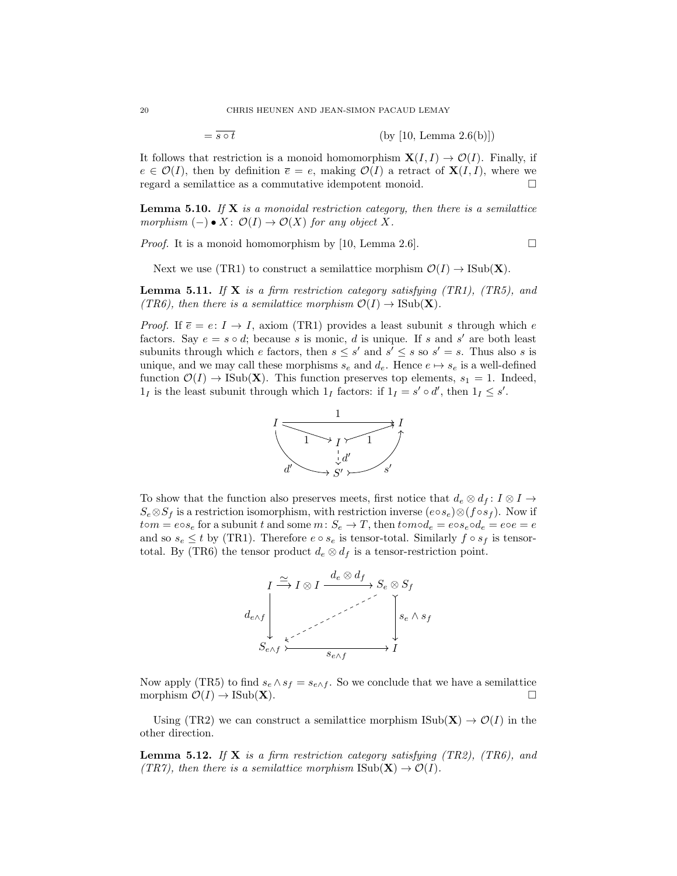$= \overline{s \circ t}$  (by [10, Lemma 2.6(b)])

It follows that restriction is a monoid homomorphism  $X(I, I) \to \mathcal{O}(I)$ . Finally, if  $e \in \mathcal{O}(I)$ , then by definition  $\overline{e} = e$ , making  $\mathcal{O}(I)$  a retract of  $\mathbf{X}(I, I)$ , where we regard a semilattice as a commutative idempotent monoid.

**Lemma 5.10.** If  $X$  is a monoidal restriction category, then there is a semilattice morphism  $(-) \bullet X: \mathcal{O}(I) \to \mathcal{O}(X)$  for any object X.

*Proof.* It is a monoid homomorphism by [10, Lemma 2.6].

Next we use (TR1) to construct a semilattice morphism  $\mathcal{O}(I) \to \text{Isub}(\mathbf{X})$ .

**Lemma 5.11.** If **X** is a firm restriction category satisfying (TR1), (TR5), and (TR6), then there is a semilattice morphism  $\mathcal{O}(I) \to \text{ISub}(\mathbf{X})$ .

*Proof.* If  $\bar{e} = e: I \to I$ , axiom (TR1) provides a least subunit s through which e factors. Say  $e = s \circ d$ ; because s is monic, d is unique. If s and s' are both least subunits through which e factors, then  $s \leq s'$  and  $s' \leq s$  so  $s' = s$ . Thus also s is unique, and we may call these morphisms  $s_e$  and  $d_e$ . Hence  $e \mapsto s_e$  is a well-defined function  $\mathcal{O}(I) \to \text{Isub}(\mathbf{X})$ . This function preserves top elements,  $s_1 = 1$ . Indeed,  $1_I$  is the least subunit through which  $1_I$  factors: if  $1_I = s' \circ d'$ , then  $1_I \leq s'$ .



To show that the function also preserves meets, first notice that  $d_e \otimes d_f : I \otimes I \to$  $S_e \otimes S_f$  is a restriction isomorphism, with restriction inverse  $(e \circ s_e) \otimes (f \circ s_f)$ . Now if  $tom = e \circ s_e$  for a subunit t and some  $m: S_e \to T$ , then  $t \circ mod_e = e \circ s_e \circ d_e = e \circ e = e$ and so  $s_e \leq t$  by (TR1). Therefore  $e \circ s_e$  is tensor-total. Similarly  $f \circ s_f$  is tensortotal. By (TR6) the tensor product  $d_e \otimes d_f$  is a tensor-restriction point.



Now apply (TR5) to find  $s_e \wedge s_f = s_{e \wedge f}$ . So we conclude that we have a semilattice morphism  $\mathcal{O}(I) \to \text{Isub}(\mathbf{X})$ .

Using (TR2) we can construct a semilattice morphism  $\text{Isub}(\mathbf{X}) \to \mathcal{O}(I)$  in the other direction.

**Lemma 5.12.** If **X** is a firm restriction category satisfying  $(TR2)$ ,  $(TR6)$ , and (TR7), then there is a semilattice morphism  $\text{Isub}(\mathbf{X}) \to \mathcal{O}(I)$ .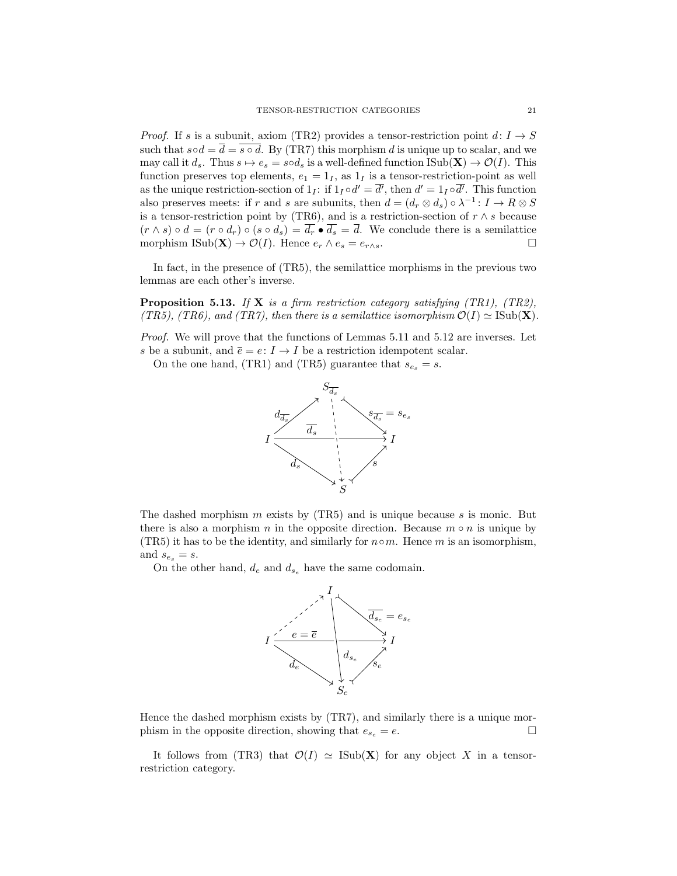*Proof.* If s is a subunit, axiom (TR2) provides a tensor-restriction point  $d: I \to S$ such that  $s \circ d = \overline{d} = \overline{s \circ d}$ . By (TR7) this morphism d is unique up to scalar, and we may call it  $d_s$ . Thus  $s \mapsto e_s = s \circ d_s$  is a well-defined function  $\text{Isub}(\mathbf{X}) \to \mathcal{O}(I)$ . This function preserves top elements,  $e_1 = 1_I$ , as  $1_I$  is a tensor-restriction-point as well as the unique restriction-section of  $1_I$ : if  $1_I \circ d' = \overline{d'}$ , then  $d' = 1_I \circ \overline{d'}$ . This function also preserves meets: if r and s are subunits, then  $d = (d_r \otimes d_s) \circ \lambda^{-1} : I \to R \otimes S$ is a tensor-restriction point by (TR6), and is a restriction-section of  $r \wedge s$  because  $(r \wedge s) \circ d = (r \circ d_r) \circ (s \circ d_s) = \overline{d_r} \bullet \overline{d_s} = \overline{d}$ . We conclude there is a semilattice morphism ISub(X)  $\to \mathcal{O}(I)$ . Hence  $e_r \wedge e_s = e_{r \wedge s}$ .

In fact, in the presence of (TR5), the semilattice morphisms in the previous two lemmas are each other's inverse.

**Proposition 5.13.** If **X** is a firm restriction category satisfying (TR1), (TR2), (TR5), (TR6), and (TR7), then there is a semilattice isomorphism  $\mathcal{O}(I) \simeq \text{Sub}(\mathbf{X})$ .

*Proof.* We will prove that the functions of Lemmas 5.11 and 5.12 are inverses. Let s be a subunit, and  $\overline{e} = e: I \to I$  be a restriction idempotent scalar.

On the one hand, (TR1) and (TR5) guarantee that  $s_{e_s} = s$ .



The dashed morphism  $m$  exists by (TR5) and is unique because  $s$  is monic. But there is also a morphism n in the opposite direction. Because  $m \circ n$  is unique by (TR5) it has to be the identity, and similarly for  $n \circ m$ . Hence m is an isomorphism, and  $s_{e_s} = s$ .

On the other hand,  $d_e$  and  $d_{s_e}$  have the same codomain.



Hence the dashed morphism exists by (TR7), and similarly there is a unique morphism in the opposite direction, showing that  $e_{s_e} = e$ .

It follows from (TR3) that  $\mathcal{O}(I) \simeq$  ISub(X) for any object X in a tensorrestriction category.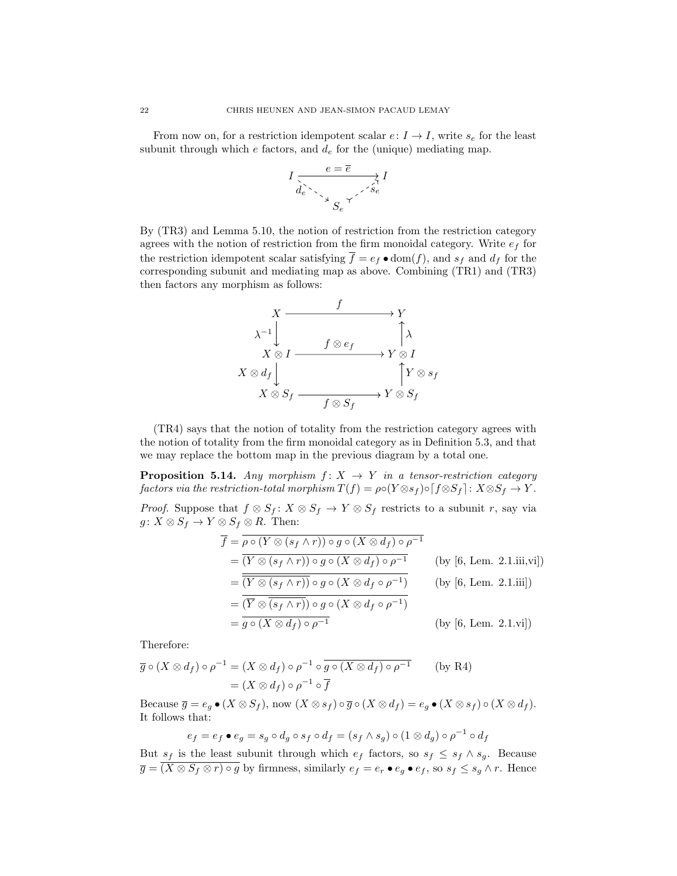From now on, for a restriction idempotent scalar  $e: I \to I$ , write  $s_e$  for the least subunit through which  $e$  factors, and  $d_e$  for the (unique) mediating map.



By (TR3) and Lemma 5.10, the notion of restriction from the restriction category agrees with the notion of restriction from the firm monoidal category. Write  $e_f$  for the restriction idempotent scalar satisfying  $\overline{f} = e_f \bullet \text{dom}(f)$ , and  $s_f$  and  $d_f$  for the corresponding subunit and mediating map as above. Combining (TR1) and (TR3) then factors any morphism as follows:



(TR4) says that the notion of totality from the restriction category agrees with the notion of totality from the firm monoidal category as in Definition 5.3, and that we may replace the bottom map in the previous diagram by a total one.

**Proposition 5.14.** Any morphism  $f: X \rightarrow Y$  in a tensor-restriction category factors via the restriction-total morphism  $T(f) = \rho \circ (Y \otimes s_f) \circ [f \otimes S_f] : X \otimes S_f \to Y$ .

*Proof.* Suppose that  $f \otimes S_f : X \otimes S_f \to Y \otimes S_f$  restricts to a subunit r, say via  $g: X \otimes S_f \to Y \otimes S_f \otimes R$ . Then:

$$
\overline{f} = \overline{\rho \circ (Y \otimes (s_f \wedge r)) \circ g \circ (X \otimes d_f) \circ \rho^{-1}}
$$
\n
$$
= \overline{(Y \otimes (s_f \wedge r)) \circ g \circ (X \otimes d_f) \circ \rho^{-1}} \qquad \text{(by [6, Lem. 2.1.iii,vi])}
$$
\n
$$
= \overline{\overline{(Y \otimes (s_f \wedge r))} \circ g \circ (X \otimes d_f \circ \rho^{-1})} \qquad \text{(by [6, Lem. 2.1.iii])}
$$
\n
$$
= \overline{\overline{(Y \otimes (s_f \wedge r))} \circ g \circ (X \otimes d_f \circ \rho^{-1})}
$$
\n
$$
= \overline{g \circ (X \otimes d_f) \circ \rho^{-1}} \qquad \text{(by [6, Lem. 2.1.vi])}
$$

Therefore:

$$
\overline{g} \circ (X \otimes d_f) \circ \rho^{-1} = (X \otimes d_f) \circ \rho^{-1} \circ \overline{g \circ (X \otimes d_f) \circ \rho^{-1}} \qquad \text{(by R4)}
$$

$$
= (X \otimes d_f) \circ \rho^{-1} \circ \overline{f}
$$

Because  $\overline{g} = e_g \bullet (X \otimes S_f)$ , now  $(X \otimes s_f) \circ \overline{g} \circ (X \otimes d_f) = e_g \bullet (X \otimes s_f) \circ (X \otimes d_f)$ . It follows that:

$$
e_f = e_f \bullet e_g = s_g \circ d_g \circ s_f \circ d_f = (s_f \land s_g) \circ (1 \otimes d_g) \circ \rho^{-1} \circ d_f
$$

But  $s_f$  is the least subunit through which  $e_f$  factors, so  $s_f \leq s_f \wedge s_g$ . Because  $\overline{g} = \overline{(X \otimes S_f \otimes r) \circ g}$  by firmness, similarly  $e_f = e_r \bullet e_g \bullet e_f$ , so  $s_f \leq s_g \wedge r$ . Hence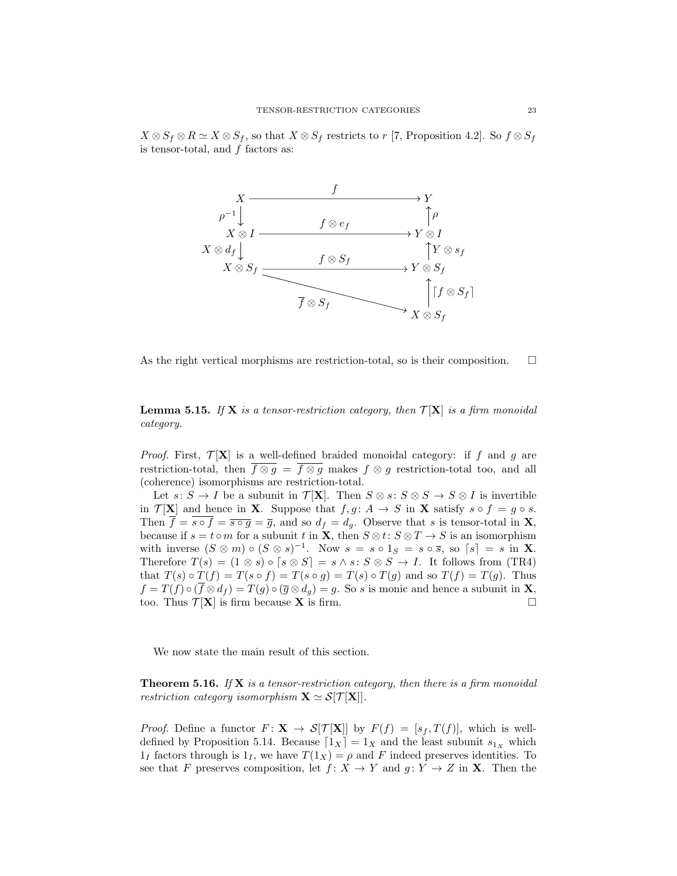$X \otimes S_f \otimes R \simeq X \otimes S_f$ , so that  $X \otimes S_f$  restricts to r [7, Proposition 4.2]. So  $f \otimes S_f$ is tensor-total, and  $f$  factors as:



As the right vertical morphisms are restriction-total, so is their composition.  $\Box$ 

**Lemma 5.15.** If **X** is a tensor-restriction category, then  $\mathcal{T}[\mathbf{X}]$  is a firm monoidal category.

*Proof.* First,  $\mathcal{T}[\mathbf{X}]$  is a well-defined braided monoidal category: if f and g are restriction-total, then  $\overline{f \otimes g} = \overline{f \otimes g}$  makes  $f \otimes g$  restriction-total too, and all (coherence) isomorphisms are restriction-total.

Let  $s: S \to I$  be a subunit in  $\mathcal{T}[\mathbf{X}]$ . Then  $S \otimes s: S \otimes S \to S \otimes I$  is invertible in  $\mathcal{T}[\mathbf{X}]$  and hence in **X**. Suppose that  $f, g \colon A \to S$  in **X** satisfy  $s \circ f = g \circ s$ . Then  $\overline{f} = \overline{s \circ f} = \overline{s \circ g} = \overline{g}$ , and so  $d_f = d_g$ . Observe that s is tensor-total in **X**, because if  $s = t \circ m$  for a subunit t in  $\mathbf{X}$ , then  $S \otimes t: S \otimes T \to S$  is an isomorphism with inverse  $(S \otimes m) \circ (S \otimes s)^{-1}$ . Now  $s = s \circ 1_S = s \circ \overline{s}$ , so  $[s] = s$  in **X**. Therefore  $T(s) = (1 \otimes s) \circ [s \otimes S] = s \wedge s : S \otimes S \rightarrow I$ . It follows from (TR4) that  $T(s) \circ T(f) = T(s \circ f) = T(s \circ g) = T(s) \circ T(g)$  and so  $T(f) = T(g)$ . Thus  $f = T(f) \circ (\overline{f} \otimes d_f) = T(g) \circ (\overline{g} \otimes d_g) = g$ . So s is monic and hence a subunit in **X**, too. Thus  $\mathcal{T}[\mathbf{X}]$  is firm because **X** is firm.

We now state the main result of this section.

**Theorem 5.16.** If  $X$  is a tensor-restriction category, then there is a firm monoidal restriction category isomorphism  $X \simeq S[T[X]]$ .

*Proof.* Define a functor  $F: \mathbf{X} \to \mathcal{S}[\mathcal{T}[\mathbf{X}]]$  by  $F(f) = [s_f, T(f)],$  which is welldefined by Proposition 5.14. Because  $[1_X] = 1_X$  and the least subunit  $s_{1_X}$  which  $1_I$  factors through is  $1_I$ , we have  $T(1_X) = \rho$  and F indeed preserves identities. To see that F preserves composition, let  $f: X \to Y$  and  $g: Y \to Z$  in **X**. Then the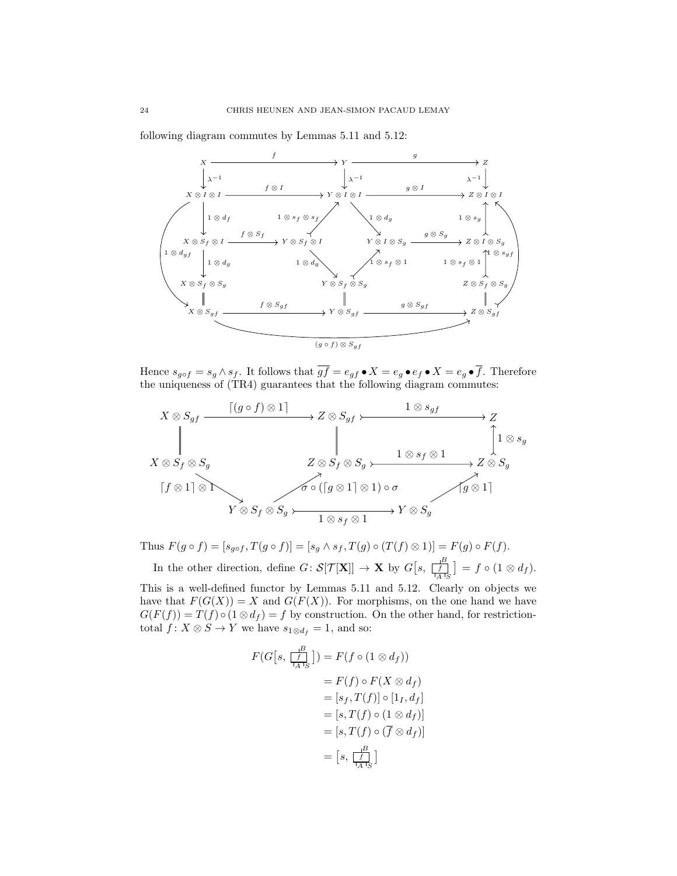following diagram commutes by Lemmas 5.11 and 5.12:



Hence  $s_{g \circ f} = s_g \wedge s_f$ . It follows that  $\overline{gf} = e_{gf} \bullet X = e_g \bullet e_f \bullet X = e_g \bullet \overline{f}$ . Therefore the uniqueness of (TR4) guarantees that the following diagram commutes:



Thus  $F(g \circ f) = [s_{g \circ f}, T(g \circ f)] = [s_g \wedge s_f, T(g) \circ (T(f) \otimes 1)] = F(g) \circ F(f)$ . In the other direction, define  $G: S[\mathcal{T}[\mathbf{X}]] \to \mathbf{X}$  by  $G[s, \frac{B}{\lfloor A \rfloor_S}]=f \circ (1 \otimes d_f)$ .

This is a well-defined functor by Lemmas 5.11 and 5.12. Clearly on objects we have that  $F(G(X)) = X$  and  $G(F(X))$ . For morphisms, on the one hand we have  $G(F(f)) = T(f) \circ (1 \otimes d_f) = f$  by construction. On the other hand, for restrictiontotal  $f: X \otimes S \to Y$  we have  $s_{1 \otimes d_f} = 1$ , and so:

$$
F(G[s, \frac{B}{\frac{f}{\lfloor A \rfloor S}}]) = F(f \circ (1 \otimes d_f))
$$
  
=  $F(f) \circ F(X \otimes d_f)$   
=  $[s_f, T(f)] \circ [1_I, d_f]$   
=  $[s, T(f) \circ (1 \otimes d_f)]$   
=  $[s, T(f) \circ (\overline{f} \otimes d_f)]$   
=  $[s, \frac{B}{\lfloor A \rfloor S}]$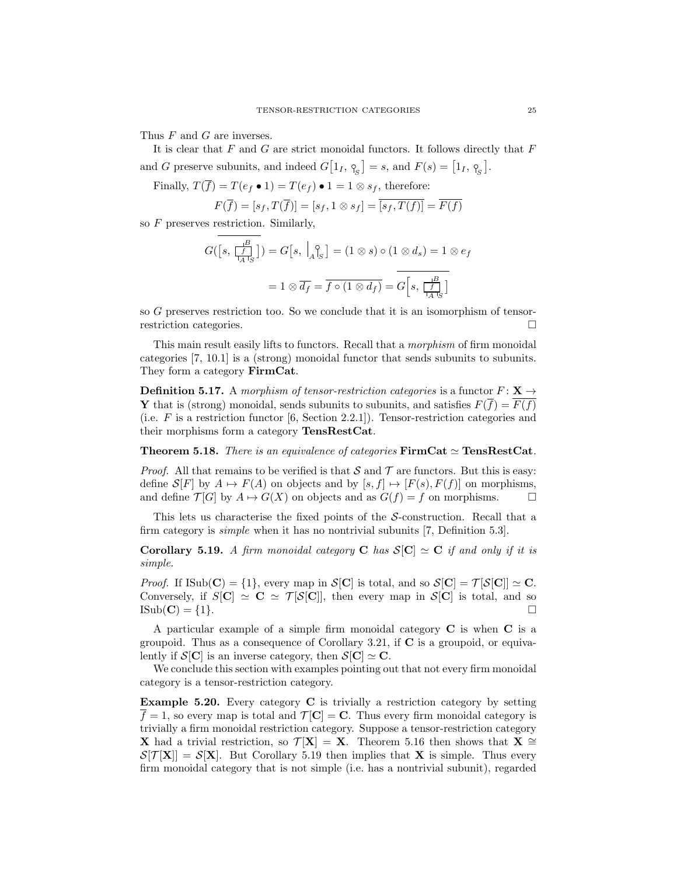Thus F and G are inverses.

It is clear that  $F$  and  $G$  are strict monoidal functors. It follows directly that  $F$ and G preserve subunits, and indeed  $G[1_I, \, \gamma_{\rm s}] = s$ , and  $F(s) = [1_I, \, \gamma_{\rm s}]$ .

Finally,  $T(\overline{f}) = T(e_f \bullet 1) = T(e_f) \bullet 1 = 1 \otimes s_f$ , therefore:

$$
F(\overline{f}) = [s_f, T(\overline{f})] = [s_f, 1 \otimes s_f] = \overline{[s_f, T(f)]} = \overline{F(f)}
$$

so  $F$  preserves restriction. Similarly,

$$
G([s, \frac{B}{\vert A \vert_S}]) = G[s, \vert_A \vert_S] = (1 \otimes s) \circ (1 \otimes d_s) = 1 \otimes e_f
$$

$$
= 1 \otimes \overline{d_f} = \overline{f \circ (1 \otimes d_f)} = G[s, \frac{B}{\vert A \vert_S}]
$$

so G preserves restriction too. So we conclude that it is an isomorphism of tensorrestriction categories.

This main result easily lifts to functors. Recall that a morphism of firm monoidal categories [7, 10.1] is a (strong) monoidal functor that sends subunits to subunits. They form a category FirmCat.

**Definition 5.17.** A morphism of tensor-restriction categories is a functor  $F: \mathbf{X} \rightarrow$ **Y** that is (strong) monoidal, sends subunits to subunits, and satisfies  $F(\overline{f}) = \overline{F(f)}$ (i.e. F is a restriction functor [6, Section 2.2.1]). Tensor-restriction categories and their morphisms form a category TensRestCat.

**Theorem 5.18.** There is an equivalence of categories  $\text{FirmCat} \simeq \text{TensRestCat}$ .

*Proof.* All that remains to be verified is that S and T are functors. But this is easy: define  $S[F]$  by  $A \mapsto F(A)$  on objects and by  $[s, f] \mapsto [F(s), F(f)]$  on morphisms, and define  $\mathcal{T}[G]$  by  $A \mapsto G(X)$  on objects and as  $G(f) = f$  on morphisms.

This lets us characterise the fixed points of the S-construction. Recall that a firm category is simple when it has no nontrivial subunits [7, Definition 5.3].

Corollary 5.19. A firm monoidal category C has  $S[C] \simeq C$  if and only if it is simple.

*Proof.* If  $\text{Isub}(\mathbf{C}) = \{1\}$ , every map in  $\mathcal{S}[\mathbf{C}]$  is total, and so  $\mathcal{S}[\mathbf{C}] = \mathcal{T}[\mathcal{S}[\mathbf{C}]] \simeq \mathbf{C}$ . Conversely, if  $S[\mathbf{C}] \simeq \mathbf{C} \simeq \mathcal{T}[S[\mathbf{C}]]$ , then every map in  $S[\mathbf{C}]$  is total, and so  $\text{ISub}(\mathbf{C}) = \{1\}.$ 

A particular example of a simple firm monoidal category C is when C is a groupoid. Thus as a consequence of Corollary 3.21, if  $C$  is a groupoid, or equivalently if  $S[\mathbf{C}]$  is an inverse category, then  $S[\mathbf{C}] \simeq \mathbf{C}$ .

We conclude this section with examples pointing out that not every firm monoidal category is a tensor-restriction category.

Example 5.20. Every category C is trivially a restriction category by setting  $f = 1$ , so every map is total and  $\mathcal{T}[\mathbf{C}] = \mathbf{C}$ . Thus every firm monoidal category is trivially a firm monoidal restriction category. Suppose a tensor-restriction category X had a trivial restriction, so  $\mathcal{T}[\mathbf{X}] = \mathbf{X}$ . Theorem 5.16 then shows that  $\mathbf{X} \cong \mathbf{Z}$  $\mathcal{S}[\mathcal{T}[\mathbf{X}]] = \mathcal{S}[\mathbf{X}]$ . But Corollary 5.19 then implies that **X** is simple. Thus every firm monoidal category that is not simple (i.e. has a nontrivial subunit), regarded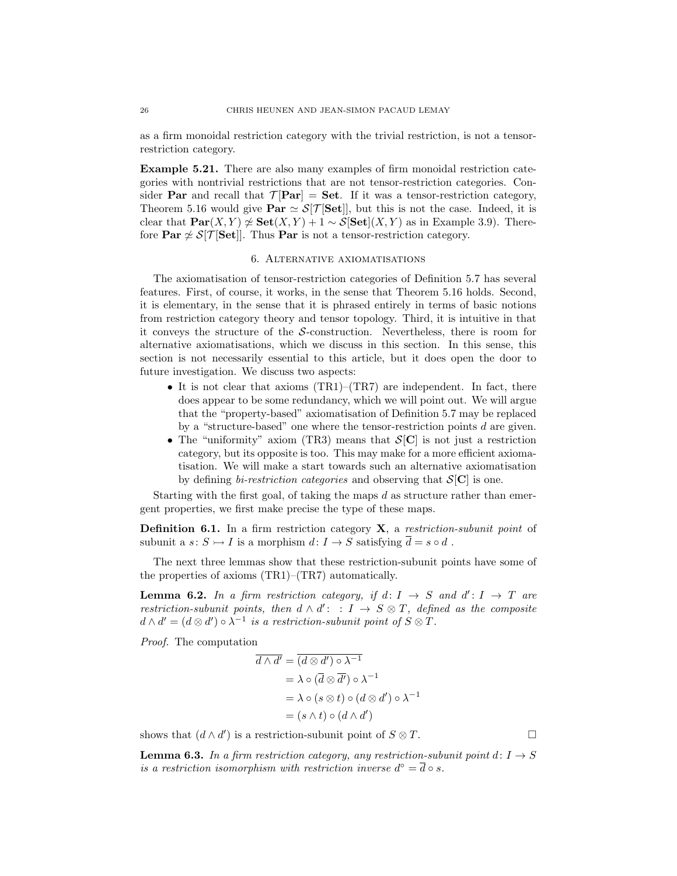as a firm monoidal restriction category with the trivial restriction, is not a tensorrestriction category.

Example 5.21. There are also many examples of firm monoidal restriction categories with nontrivial restrictions that are not tensor-restriction categories. Consider **Par** and recall that  $\mathcal{T}$  [Par] = Set. If it was a tensor-restriction category, Theorem 5.16 would give  $\text{Par} \simeq \mathcal{S}[\mathcal{T}[\textbf{Set}]]$ , but this is not the case. Indeed, it is clear that  $\text{Par}(X, Y) \not\simeq \text{Set}(X, Y) + 1 \sim \mathcal{S}[\text{Set}](X, Y)$  as in Example 3.9). Therefore  $\text{Par} \not\cong \mathcal{S}[\mathcal{T}[\textbf{Set}]]$ . Thus  $\textbf{Par}$  is not a tensor-restriction category.

## 6. Alternative axiomatisations

The axiomatisation of tensor-restriction categories of Definition 5.7 has several features. First, of course, it works, in the sense that Theorem 5.16 holds. Second, it is elementary, in the sense that it is phrased entirely in terms of basic notions from restriction category theory and tensor topology. Third, it is intuitive in that it conveys the structure of the S-construction. Nevertheless, there is room for alternative axiomatisations, which we discuss in this section. In this sense, this section is not necessarily essential to this article, but it does open the door to future investigation. We discuss two aspects:

- It is not clear that axioms  $(TR1)$ – $(TR7)$  are independent. In fact, there does appear to be some redundancy, which we will point out. We will argue that the "property-based" axiomatisation of Definition 5.7 may be replaced by a "structure-based" one where the tensor-restriction points  $d$  are given.
- The "uniformity" axiom (TR3) means that  $S[\mathbf{C}]$  is not just a restriction category, but its opposite is too. This may make for a more efficient axiomatisation. We will make a start towards such an alternative axiomatisation by defining *bi-restriction categories* and observing that  $S[\mathbf{C}]$  is one.

Starting with the first goal, of taking the maps  $d$  as structure rather than emergent properties, we first make precise the type of these maps.

Definition 6.1. In a firm restriction category X, a restriction-subunit point of subunit a  $s: S \rightarrow I$  is a morphism  $d: I \rightarrow S$  satisfying  $\overline{d} = s \circ d$ .

The next three lemmas show that these restriction-subunit points have some of the properties of axioms (TR1)–(TR7) automatically.

**Lemma 6.2.** In a firm restriction category, if  $d: I \rightarrow S$  and  $d': I \rightarrow T$  are restriction-subunit points, then  $d \wedge d'$ : :  $I \rightarrow S \otimes T$ , defined as the composite  $d \wedge d' = (d \otimes d') \circ \lambda^{-1}$  is a restriction-subunit point of  $S \otimes T$ .

Proof. The computation

$$
\overline{d \wedge d'} = \overline{(d \otimes d') \circ \lambda^{-1}}
$$
  
=  $\lambda \circ (\overline{d} \otimes \overline{d'}) \circ \lambda^{-1}$   
=  $\lambda \circ (s \otimes t) \circ (d \otimes d') \circ \lambda^{-1}$   
=  $(s \wedge t) \circ (d \wedge d')$ 

shows that  $(d \wedge d')$  is a restriction-subunit point of  $S \otimes T$ .

**Lemma 6.3.** In a firm restriction category, any restriction-subunit point  $d: I \rightarrow S$ is a restriction isomorphism with restriction inverse  $d^{\circ} = \overline{d} \circ s$ .

$$
\Box
$$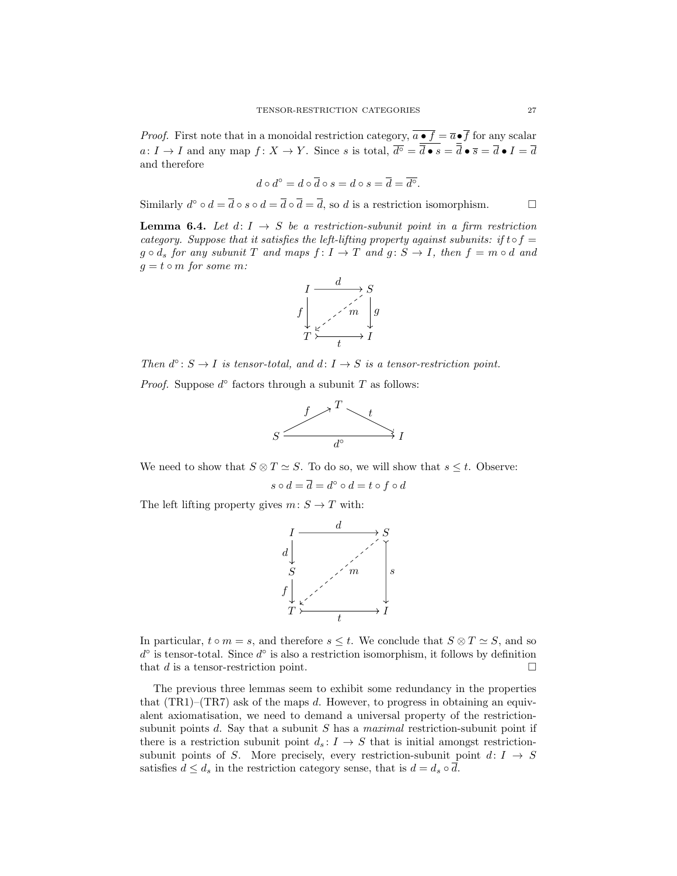*Proof.* First note that in a monoidal restriction category,  $\overline{a \bullet f} = \overline{a} \bullet \overline{f}$  for any scalar  $a: I \to I$  and any map  $f: X \to Y$ . Since s is total,  $\overline{d^{\circ}} = \overline{d} \bullet s = \overline{d} \bullet \overline{s} = \overline{d} \bullet I = \overline{d}$ and therefore

$$
d \circ d^{\circ} = d \circ \overline{d} \circ s = d \circ s = \overline{d} = \overline{d^{\circ}}.
$$

Similarly  $d^{\circ} \circ d = \overline{d} \circ s \circ d = \overline{d} \circ \overline{d} = \overline{d}$ , so d is a restriction isomorphism.

**Lemma 6.4.** Let  $d: I \rightarrow S$  be a restriction-subunit point in a firm restriction category. Suppose that it satisfies the left-lifting property against subunits: if t  $\circ$  f =  $g \circ d_s$  for any subunit T and maps  $f : I \to T$  and  $g : S \to I$ , then  $f = m \circ d$  and  $g = t \circ m$  for some m:



Then  $d^{\circ}$ :  $S \to I$  is tensor-total, and  $d: I \to S$  is a tensor-restriction point.

*Proof.* Suppose  $d^{\circ}$  factors through a subunit T as follows:



We need to show that  $S \otimes T \simeq S$ . To do so, we will show that  $s \leq t$ . Observe:

$$
s \circ d = \overline{d} = d^{\circ} \circ d = t \circ f \circ d
$$

The left lifting property gives  $m: S \to T$  with:



In particular,  $t \circ m = s$ , and therefore  $s \leq t$ . We conclude that  $S \otimes T \simeq S$ , and so  $d^{\circ}$  is tensor-total. Since  $d^{\circ}$  is also a restriction isomorphism, it follows by definition that  $d$  is a tensor-restriction point.  $\Box$ 

The previous three lemmas seem to exhibit some redundancy in the properties that  $(TR1)$ – $(TR7)$  ask of the maps d. However, to progress in obtaining an equivalent axiomatisation, we need to demand a universal property of the restrictionsubunit points  $d$ . Say that a subunit  $S$  has a *maximal* restriction-subunit point if there is a restriction subunit point  $d_s: I \to S$  that is initial amongst restrictionsubunit points of S. More precisely, every restriction-subunit point  $d: I \rightarrow S$ satisfies  $d \leq d_s$  in the restriction category sense, that is  $d = d_s \circ \overline{d}$ .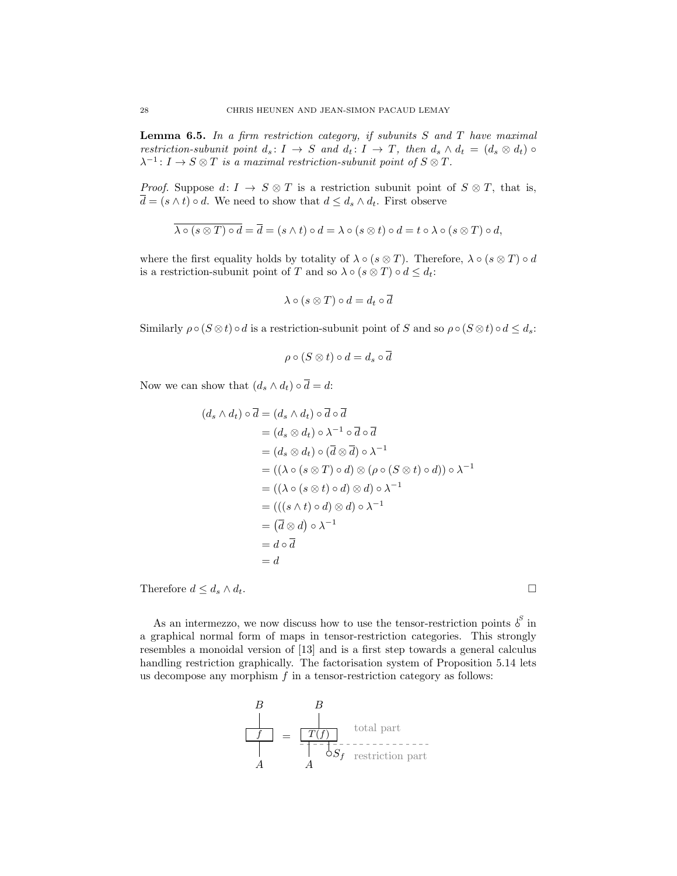**Lemma 6.5.** In a firm restriction category, if subunits  $S$  and  $T$  have maximal restriction-subunit point  $d_s: I \to S$  and  $d_t: I \to T$ , then  $d_s \wedge d_t = (d_s \otimes d_t) \circ$  $\lambda^{-1}: I \to S \otimes T$  is a maximal restriction-subunit point of  $S \otimes T$ .

*Proof.* Suppose  $d: I \to S \otimes T$  is a restriction subunit point of  $S \otimes T$ , that is,  $\overline{d} = (s \wedge t) \circ d$ . We need to show that  $d \leq d_s \wedge d_t$ . First observe

$$
\overline{\lambda \circ (s \otimes T) \circ d} = \overline{d} = (s \wedge t) \circ d = \lambda \circ (s \otimes t) \circ d = t \circ \lambda \circ (s \otimes T) \circ d,
$$

where the first equality holds by totality of  $\lambda \circ (s \otimes T)$ . Therefore,  $\lambda \circ (s \otimes T) \circ d$ is a restriction-subunit point of T and so  $\lambda \circ (s \otimes T) \circ d \leq d_t$ :

$$
\lambda \circ (s \otimes T) \circ d = d_t \circ \overline{d}
$$

Similarly  $\rho \circ (S \otimes t) \circ d$  is a restriction-subunit point of S and so  $\rho \circ (S \otimes t) \circ d \leq d_s$ :

$$
\rho \circ (S \otimes t) \circ d = d_s \circ \overline{d}
$$

Now we can show that  $(d_s \wedge d_t) \circ \overline{d} = d$ :

$$
(d_s \wedge d_t) \circ \overline{d} = (d_s \wedge d_t) \circ \overline{d} \circ \overline{d}
$$
  
=  $(d_s \otimes d_t) \circ \lambda^{-1} \circ \overline{d} \circ \overline{d}$   
=  $(d_s \otimes d_t) \circ (\overline{d} \otimes \overline{d}) \circ \lambda^{-1}$   
=  $((\lambda \circ (s \otimes T) \circ d) \otimes (\rho \circ (S \otimes t) \circ d)) \circ \lambda^{-1}$   
=  $((\lambda \circ (s \otimes t) \circ d) \otimes d) \circ \lambda^{-1}$   
=  $((s \wedge t) \circ d) \otimes d) \circ \lambda^{-1}$   
=  $(\overline{d} \otimes d) \circ \lambda^{-1}$   
=  $d \circ \overline{d}$   
=  $d$ 

Therefore  $d \leq d_s \wedge d_t$ .

As an intermezzo, we now discuss how to use the tensor-restriction points  $\delta^S$  in a graphical normal form of maps in tensor-restriction categories. This strongly resembles a monoidal version of [13] and is a first step towards a general calculus handling restriction graphically. The factorisation system of Proposition 5.14 lets us decompose any morphism  $f$  in a tensor-restriction category as follows:

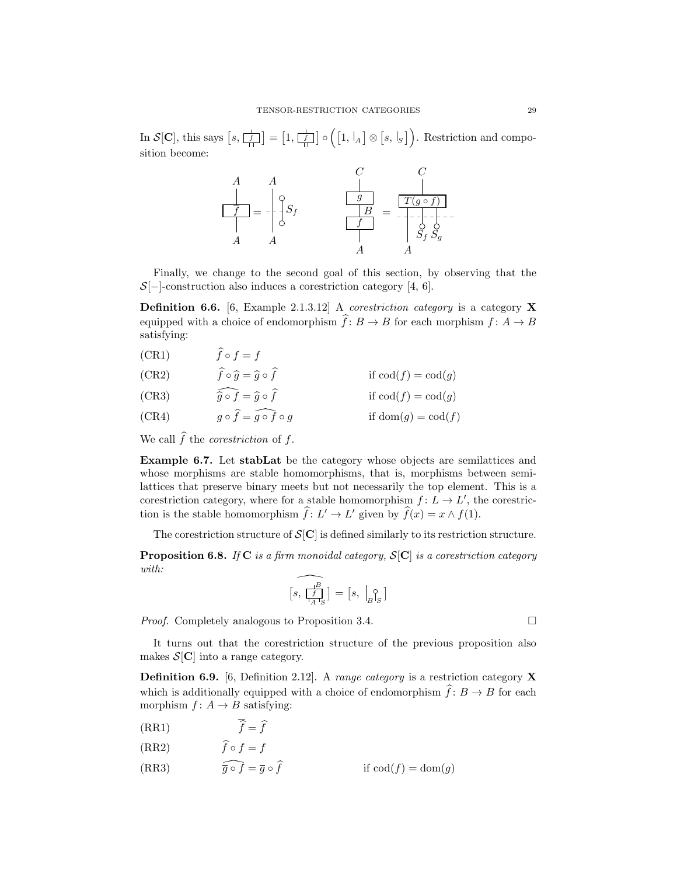In  $\mathcal{S}[\mathbf{C}]$ , this says  $[s, \frac{1}{[f]}] = [1, \frac{1}{[f]}] \circ ([1, \frac{1}{[A]}] \otimes [s, \frac{1}{[S]}])$ . Restriction and composition become:



Finally, we change to the second goal of this section, by observing that the  $S[-]$ -construction also induces a corestriction category [4, 6].

**Definition 6.6.** [6, Example 2.1.3.12] A *corestriction category* is a category **X** equipped with a choice of endomorphism  $\hat{f}: B \to B$  for each morphism  $f: A \to B$ satisfying:

(CR1)  $\hat{f} \circ f = f$ 

(CR2) 
$$
\hat{f} \circ \hat{g} = \hat{g} \circ \hat{f}
$$
 if  $\text{cod}(f) = \text{cod}(g)$ 

(CR3) 
$$
\widehat{\hat{a} \circ f} = \widehat{a} \circ \widehat{f} \qquad \text{if } \operatorname{cod}(f) = \operatorname{cod}(a)
$$

(CR3)  $g \circ f = g \circ f$  if  $\text{cod}(f) = \text{cod}(g)$ <br>(CR4)  $g \circ \widehat{f} = \widehat{g \circ f} \circ g$  if  $\text{dom}(g) = \text{cod}(f)$ if dom $(g) = \text{cod}(f)$ 

We call  $\widehat{f}$  the *corestriction* of f.

Example 6.7. Let stabLat be the category whose objects are semilattices and whose morphisms are stable homomorphisms, that is, morphisms between semilattices that preserve binary meets but not necessarily the top element. This is a corestriction category, where for a stable homomorphism  $f: L \to L'$ , the corestriction is the stable homomorphism  $\hat{f}: L' \to L'$  given by  $\hat{f}(x) = x \wedge f(1)$ .

The corestriction structure of  $\mathcal{S}[\mathbf{C}]$  is defined similarly to its restriction structure.

**Proposition 6.8.** If C is a firm monoidal category,  $S[C]$  is a corestriction category with:

$$
\widehat{\left[s,\,\fbox{$\frac{B}{I_A}\,]\right\}} = \left[s,\,\,\Big| \begin{smallmatrix} \circ \\[1mm] B\end{smallmatrix}\right]
$$

*Proof.* Completely analogous to Proposition 3.4. □

It turns out that the corestriction structure of the previous proposition also makes  $\mathcal{S}[\mathbf{C}]$  into a range category.

**Definition 6.9.** [6, Definition 2.12]. A range category is a restriction category **X** which is additionally equipped with a choice of endomorphism  $\hat{f}: B \to B$  for each morphism  $f: A \rightarrow B$  satisfying:

- (RR1)  $f = f$
- (RR2)  $f \circ f = f$
- (RR3)  $\widehat{\overline{q} \circ f} = \overline{q} \circ \widehat{f}$  if  $\operatorname{cod}(f) = \operatorname{dom}(q)$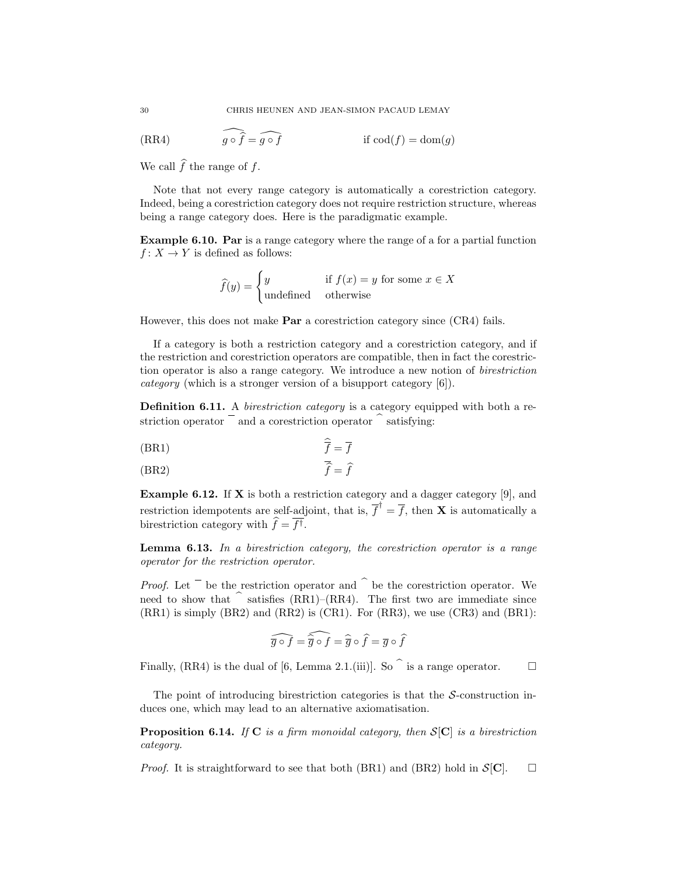(RR4) 
$$
\widehat{g \circ f} = \widehat{g \circ f} \qquad \text{if } \operatorname{cod}(f) = \operatorname{dom}(g)
$$

We call  $\widehat{f}$  the range of f.

Note that not every range category is automatically a corestriction category. Indeed, being a corestriction category does not require restriction structure, whereas being a range category does. Here is the paradigmatic example.

Example 6.10. Par is a range category where the range of a for a partial function  $f: X \to Y$  is defined as follows:

$$
\widehat{f}(y) = \begin{cases} y & \text{if } f(x) = y \text{ for some } x \in X \\ \text{undefined} & \text{otherwise} \end{cases}
$$

However, this does not make Par a corestriction category since (CR4) fails.

If a category is both a restriction category and a corestriction category, and if the restriction and corestriction operators are compatible, then in fact the corestriction operator is also a range category. We introduce a new notion of birestriction category (which is a stronger version of a bisupport category [6]).

Definition 6.11. A *birestriction category* is a category equipped with both a restriction operator  $\overline{\phantom{a}}$  and a corestriction operator  $\hat{\phantom{a}}$  satisfying:

$$
\overline{f} = \overline{f}
$$

$$
\widehat{\overline{f}} = \widehat{f}
$$

**Example 6.12.** If **X** is both a restriction category and a dagger category [9], and restriction idempotents are self-adjoint, that is,  $\overline{f}^{\dagger} = \overline{f}$ , then **X** is automatically a birestriction category with  $f = f^{\dagger}$ .

**Lemma 6.13.** In a birestriction category, the corestriction operator is a range operator for the restriction operator.

*Proof.* Let  $\overline{\phantom{a}}$  be the restriction operator and  $\hat{\phantom{a}}$  be the corestriction operator. We need to show that  $\hat{\ }$  satisfies (RR1)–(RR4). The first two are immediate since (RR1) is simply (BR2) and (RR2) is (CR1). For (RR3), we use (CR3) and (BR1):

$$
\widehat{\overline{g} \circ f} = \widehat{\overline{\widehat{g}} \circ f} = \widehat{\overline{g}} \circ \widehat{f} = \overline{g} \circ \widehat{f}
$$

Finally, (RR4) is the dual of [6, Lemma 2.1.(iii)]. So  $\hat{ }$  is a range operator.  $\Box$ 

The point of introducing birestriction categories is that the  $S$ -construction induces one, which may lead to an alternative axiomatisation.

**Proposition 6.14.** If C is a firm monoidal category, then  $S[C]$  is a birestriction category.

*Proof.* It is straightforward to see that both (BR1) and (BR2) hold in  $S[\mathbf{C}]$ .  $\square$